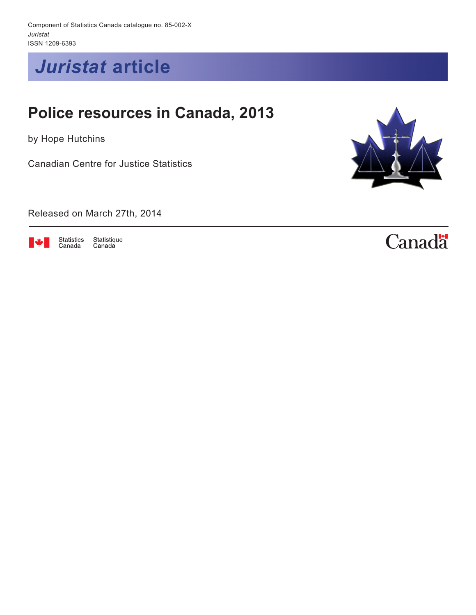Component of Statistics Canada catalogue no. 85-002-X *Juristat* ISSN 1209-6393

*Juristat* **article**

# **Police resources in Canada, 2013**

by Hope Hutchins

Canadian Centre for Justice Statistics

Released on March 27th, 2014



Statistics<br>Canada Statistique Canada



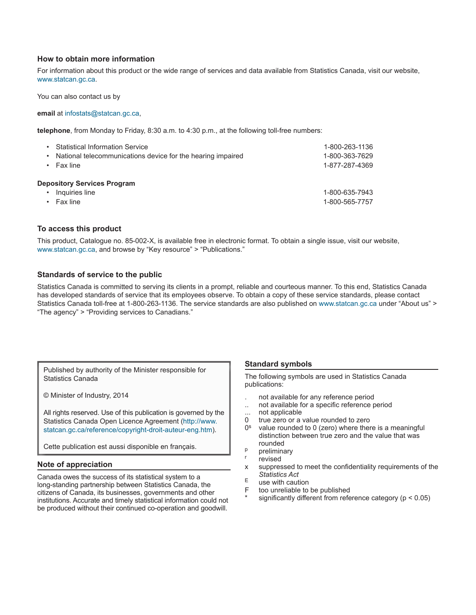#### **How to obtain more information**

For information about this product or the wide range of services and data available from Statistics Canada, visit our website, www.statcan.gc.ca.

You can also contact us by

#### **email** at infostats@statcan.gc.ca,

**telephone**, from Monday to Friday, 8:30 a.m. to 4:30 p.m., at the following toll-free numbers:

| ٠ | <b>Statistical Information Service</b><br>National telecommunications device for the hearing impaired<br>Fax line | 1-800-263-1136<br>1-800-363-7629<br>1-877-287-4369 |
|---|-------------------------------------------------------------------------------------------------------------------|----------------------------------------------------|
|   | <b>Depository Services Program</b>                                                                                |                                                    |
|   | Inquiries line                                                                                                    | 1-800-635-7943                                     |
|   | Fax line                                                                                                          | 1-800-565-7757                                     |

#### **To access this product**

This product, Catalogue no. 85-002-X, is available free in electronic format. To obtain a single issue, visit our website, [www.statcan.gc.ca,](http://www.statcan.gc.ca/) and browse by "Key resource" > "Publications."

#### **Standards of service to the public**

Statistics Canada is committed to serving its clients in a prompt, reliable and courteous manner. To this end, Statistics Canada has developed standards of service that its employees observe. To obtain a copy of these service standards, please contact Statistics Canada toll-free at 1-800-263-1136. The service standards are also published on www.statcan.gc.ca under "About us" > "The agency" > "Providing services to Canadians."

Published by authority of the Minister responsible for Statistics Canada

© Minister of Industry, 2014

All rights reserved. Use of this publication is governed by the Statistics Canada Open Licence Agreement (http://www. statcan.gc.ca/reference/copyright-droit-auteur-eng.htm).

Cette publication est aussi disponible en français.

#### **Note of appreciation**

Canada owes the success of its statistical system to a long-standing partnership between Statistics Canada, the citizens of Canada, its businesses, governments and other institutions. Accurate and timely statistical information could not be produced without their continued co-operation and goodwill.

#### **Standard symbols**

The following symbols are used in Statistics Canada publications:

- . not available for any reference period
- .. not available for a specific reference period
- ... not applicable
- 0 true zero or a value rounded to zero<br> $0<sup>s</sup>$  value rounded to 0 (zero) where then
- value rounded to 0 (zero) where there is a meaningful distinction between true zero and the value that was rounded
- $p$  preliminary<br>r revised
- 
- x suppressed to meet the confidentiality requirements of the *Statistics Act*
- $E$  use with caution<br>F too unreliable to
- too unreliable to be published
- significantly different from reference category ( $p < 0.05$ )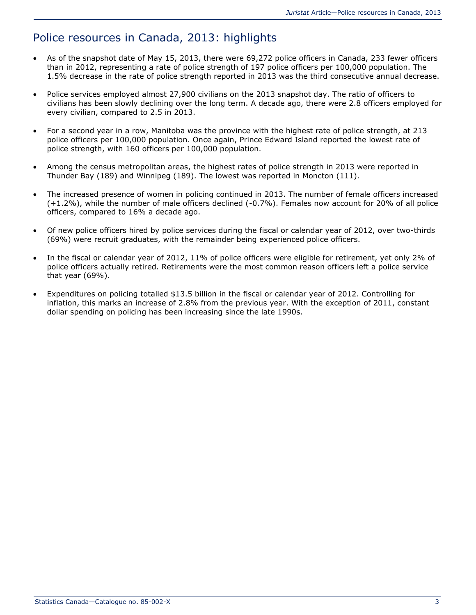# Police resources in Canada, 2013: highlights

- As of the snapshot date of May 15, 2013, there were 69,272 police officers in Canada, 233 fewer officers than in 2012, representing a rate of police strength of 197 police officers per 100,000 population. The 1.5% decrease in the rate of police strength reported in 2013 was the third consecutive annual decrease.
- Police services employed almost 27,900 civilians on the 2013 snapshot day. The ratio of officers to civilians has been slowly declining over the long term. A decade ago, there were 2.8 officers employed for every civilian, compared to 2.5 in 2013.
- For a second year in a row, Manitoba was the province with the highest rate of police strength, at 213 police officers per 100,000 population. Once again, Prince Edward Island reported the lowest rate of police strength, with 160 officers per 100,000 population.
- Among the census metropolitan areas, the highest rates of police strength in 2013 were reported in Thunder Bay (189) and Winnipeg (189). The lowest was reported in Moncton (111).
- The increased presence of women in policing continued in 2013. The number of female officers increased (+1.2%), while the number of male officers declined (-0.7%). Females now account for 20% of all police officers, compared to 16% a decade ago.
- Of new police officers hired by police services during the fiscal or calendar year of 2012, over two-thirds (69%) were recruit graduates, with the remainder being experienced police officers.
- In the fiscal or calendar year of 2012, 11% of police officers were eligible for retirement, yet only 2% of police officers actually retired. Retirements were the most common reason officers left a police service that year (69%).
- Expenditures on policing totalled \$13.5 billion in the fiscal or calendar year of 2012. Controlling for inflation, this marks an increase of 2.8% from the previous year. With the exception of 2011, constant dollar spending on policing has been increasing since the late 1990s.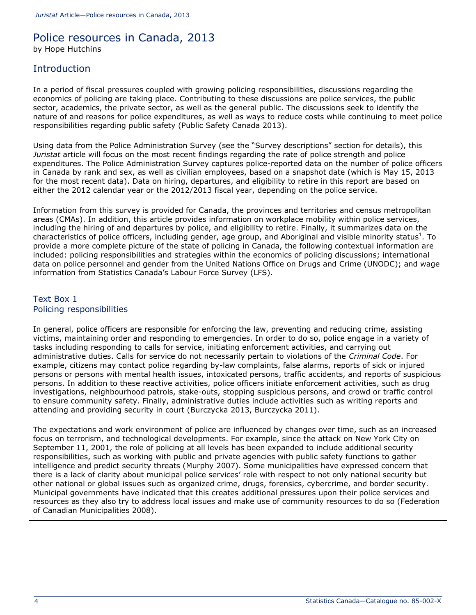# Police resources in Canada, 2013 by Hope Hutchins

### **Introduction**

In a period of fiscal pressures coupled with growing policing responsibilities, discussions regarding the economics of policing are taking place. Contributing to these discussions are police services, the public sector, academics, the private sector, as well as the general public. The discussions seek to identify the nature of and reasons for police expenditures, as well as ways to reduce costs while continuing to meet police responsibilities regarding public safety (Public Safety Canada 2013).

Using data from the Police Administration Survey (see the "Survey descriptions" section for details), this *Juristat* article will focus on the most recent findings regarding the rate of police strength and police expenditures. The Police Administration Survey captures police-reported data on the number of police officers in Canada by rank and sex, as well as civilian employees, based on a snapshot date (which is May 15, 2013 for the most recent data). Data on hiring, departures, and eligibility to retire in this report are based on either the 2012 calendar year or the 2012/2013 fiscal year, depending on the police service.

Information from this survey is provided for Canada, the provinces and territories and census metropolitan areas (CMAs). In addition, this article provides information on workplace mobility within police services, including the hiring of and departures by police, and eligibility to retire. Finally, it summarizes data on the characteristics of police officers, including gender, age group, and Aboriginal and visible minority status<sup>[1](http://wwwstaging.statcan.gc.ca/pub/85-002-x/2014001/article/11914-eng.htm#n1)</sup>. To provide a more complete picture of the state of policing in Canada, the following contextual information are included: policing responsibilities and strategies within the economics of policing discussions; international data on police personnel and gender from the United Nations Office on Drugs and Crime (UNODC); and wage information from Statistics Canada's Labour Force Survey (LFS).

#### Text Box 1 Policing responsibilities

In general, police officers are responsible for enforcing the law, preventing and reducing crime, assisting victims, maintaining order and responding to emergencies. In order to do so, police engage in a variety of tasks including responding to calls for service, initiating enforcement activities, and carrying out administrative duties. Calls for service do not necessarily pertain to violations of the *Criminal Code*. For example, citizens may contact police regarding by-law complaints, false alarms, reports of sick or injured persons or persons with mental health issues, intoxicated persons, traffic accidents, and reports of suspicious persons. In addition to these reactive activities, police officers initiate enforcement activities, such as drug investigations, neighbourhood patrols, stake-outs, stopping suspicious persons, and crowd or traffic control to ensure community safety. Finally, administrative duties include activities such as writing reports and attending and providing security in court (Burczycka 2013, Burczycka 2011).

The expectations and work environment of police are influenced by changes over time, such as an increased focus on terrorism, and technological developments. For example, since the attack on New York City on September 11, 2001, the role of policing at all levels has been expanded to include additional security responsibilities, such as working with public and private agencies with public safety functions to gather intelligence and predict security threats (Murphy 2007). Some municipalities have expressed concern that there is a lack of clarity about municipal police services' role with respect to not only national security but other national or global issues such as organized crime, drugs, forensics, cybercrime, and border security. Municipal governments have indicated that this creates additional pressures upon their police services and resources as they also try to address local issues and make use of community resources to do so (Federation of Canadian Municipalities 2008).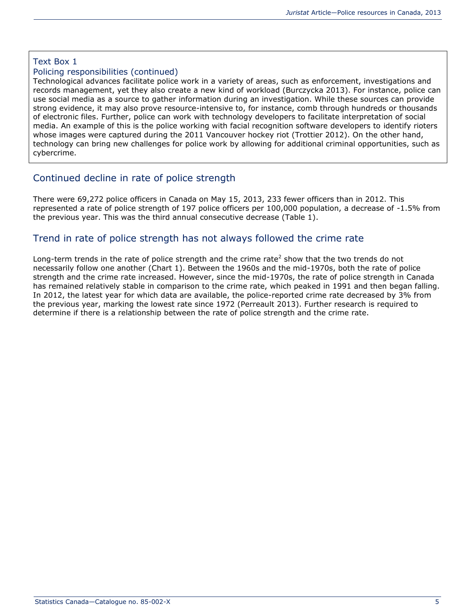### Text Box 1

#### Policing responsibilities (continued)

Technological advances facilitate police work in a variety of areas, such as enforcement, investigations and records management, yet they also create a new kind of workload (Burczycka 2013). For instance, police can use social media as a source to gather information during an investigation. While these sources can provide strong evidence, it may also prove resource-intensive to, for instance, comb through hundreds or thousands of electronic files. Further, police can work with technology developers to facilitate interpretation of social media. An example of this is the police working with facial recognition software developers to identify rioters whose images were captured during the 2011 Vancouver hockey riot (Trottier 2012). On the other hand, technology can bring new challenges for police work by allowing for additional criminal opportunities, such as cybercrime.

# Continued decline in rate of police strength

There were 69,272 police officers in Canada on May 15, 2013, 233 fewer officers than in 2012. This represented a rate of police strength of 197 police officers per 100,000 population, a decrease of -1.5% from the previous year. This was the third annual consecutive decrease (Table 1).

### Trend in rate of police strength has not always followed the crime rate

Long-term trends in the rate of police strength and the crime rate<sup>[2](http://wwwstaging.statcan.gc.ca/pub/85-002-x/2014001/article/11914-eng.htm#n2)</sup> show that the two trends do not necessarily follow one another (Chart 1). Between the 1960s and the mid-1970s, both the rate of police strength and the crime rate increased. However, since the mid-1970s, the rate of police strength in Canada has remained relatively stable in comparison to the crime rate, which peaked in 1991 and then began falling. In 2012, the latest year for which data are available, the police-reported crime rate decreased by 3% from the previous year, marking the lowest rate since 1972 (Perreault 2013). Further research is required to determine if there is a relationship between the rate of police strength and the crime rate.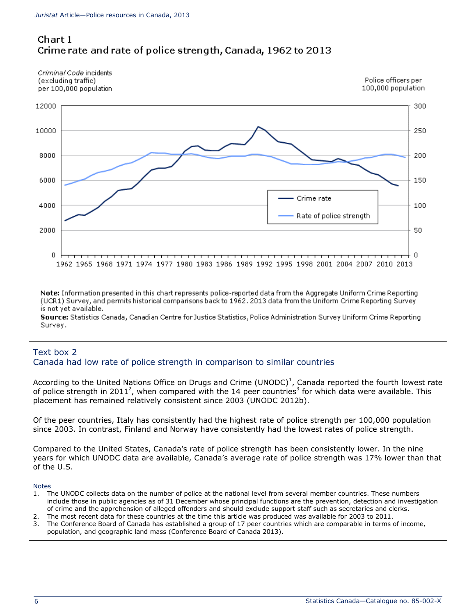

Criminal Code incidents (excluding traffic) per 100,000 population



Note: Information presented in this chart represents police-reported data from the Aggregate Uniform Crime Reporting (UCR1) Survey, and permits historical comparisons back to 1962. 2013 data from the Uniform Crime Reporting Survey is not yet available.

Source: Statistics Canada, Canadian Centre for Justice Statistics, Police Administration Survey Uniform Crime Reporting Survey.

#### Text box 2 Canada had low rate of police strength in comparison to similar countries

According to the United Nations Office on Drugs and Crime (UNODC[\)](http://wwwstaging.statcan.gc.ca/pub/85-002-x/2014001/article/11914-eng.htm#n2bx1)<sup>1</sup>, Canada reported the fourth lowest rate of police strength in [2](http://wwwstaging.statcan.gc.ca/pub/85-002-x/2014001/article/11914-eng.htm#n2bx2)011<sup>2</sup>, when compared with the 14 peer countries<sup>[3](http://wwwstaging.statcan.gc.ca/pub/85-002-x/2014001/article/11914-eng.htm#n2bx3)</sup> for which data were available. This placement has remained relatively consistent since 2003 (UNODC 2012b).

Of the peer countries, Italy has consistently had the highest rate of police strength per 100,000 population since 2003. In contrast, Finland and Norway have consistently had the lowest rates of police strength.

Compared to the United States, Canada's rate of police strength has been consistently lower. In the nine years for which UNODC data are available, Canada's average rate of police strength was 17% lower than that of the U.S.

Notes

- 1. The UNODC collects data on the number of police at the national level from several member countries. These numbers include those in public agencies as of 31 December whose principal functions are the prevention, detection and investigation of crime and the apprehension of alleged offenders and should exclude support staff such as secretaries and clerks.
- 2. The most recent data for these countries at the time this article was produced was available for 2003 to 2011.
- 3. The Conference Board of Canada has established a group of 17 peer countries which are comparable in terms of income, population, and geographic land mass (Conference Board of Canada 2013).

Police officers per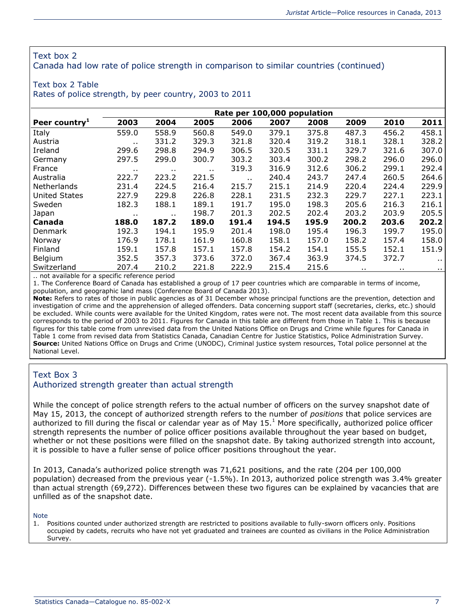#### Text box 2

Canada had low rate of police strength in comparison to similar countries (continued)

#### Text box 2 Table

Rates of police strength, by peer country, 2003 to 2011

|                           | Rate per 100,000 population |           |          |        |       |       |       |       |          |
|---------------------------|-----------------------------|-----------|----------|--------|-------|-------|-------|-------|----------|
| Peer country <sup>1</sup> | 2003                        | 2004      | 2005     | 2006   | 2007  | 2008  | 2009  | 2010  | 2011     |
| Italy                     | 559.0                       | 558.9     | 560.8    | 549.0  | 379.1 | 375.8 | 487.3 | 456.2 | 458.1    |
| Austria                   | $\cdots$                    | 331.2     | 329.3    | 321.8  | 320.4 | 319.2 | 318.1 | 328.1 | 328.2    |
| Ireland                   | 299.6                       | 298.8     | 294.9    | 306.5  | 320.5 | 331.1 | 329.7 | 321.6 | 307.0    |
| Germany                   | 297.5                       | 299.0     | 300.7    | 303.2  | 303.4 | 300.2 | 298.2 | 296.0 | 296.0    |
| France                    | . .                         | $\cdot$ . | $\cdots$ | 319.3  | 316.9 | 312.6 | 306.2 | 299.1 | 292.4    |
| Australia                 | 222.7                       | 223.2     | 221.5    | $\sim$ | 240.4 | 243.7 | 247.4 | 260.5 | 264.6    |
| Netherlands               | 231.4                       | 224.5     | 216.4    | 215.7  | 215.1 | 214.9 | 220.4 | 224.4 | 229.9    |
| <b>United States</b>      | 227.9                       | 229.8     | 226.8    | 228.1  | 231.5 | 232.3 | 229.7 | 227.1 | 223.1    |
| Sweden                    | 182.3                       | 188.1     | 189.1    | 191.7  | 195.0 | 198.3 | 205.6 | 216.3 | 216.1    |
| Japan                     | . .                         | $\cdot$ . | 198.7    | 201.3  | 202.5 | 202.4 | 203.2 | 203.9 | 205.5    |
| Canada                    | 188.0                       | 187.2     | 189.0    | 191.4  | 194.5 | 195.9 | 200.2 | 203.6 | 202.2    |
| Denmark                   | 192.3                       | 194.1     | 195.9    | 201.4  | 198.0 | 195.4 | 196.3 | 199.7 | 195.0    |
| Norway                    | 176.9                       | 178.1     | 161.9    | 160.8  | 158.1 | 157.0 | 158.2 | 157.4 | 158.0    |
| Finland                   | 159.1                       | 157.8     | 157.1    | 157.8  | 154.2 | 154.1 | 155.5 | 152.1 | 151.9    |
| Belgium                   | 352.5                       | 357.3     | 373.6    | 372.0  | 367.4 | 363.9 | 374.5 | 372.7 | $\cdots$ |
| Switzerland               | 207.4                       | 210.2     | 221.8    | 222.9  | 215.4 | 215.6 | . .   | . .   | $\sim$   |

.. not available for a specific reference period

1. The Conference Board of Canada has established a group of 17 peer countries which are comparable in terms of income, population, and geographic land mass (Conference Board of Canada 2013).

**Note:** Refers to rates of those in public agencies as of 31 December whose principal functions are the prevention, detection and investigation of crime and the apprehension of alleged offenders. Data concerning support staff (secretaries, clerks, etc.) should be excluded. While counts were available for the United Kingdom, rates were not. The most recent data available from this source corresponds to the period of 2003 to 2011. Figures for Canada in this table are different from those in Table 1. This is because figures for this table come from unrevised data from the United Nations Office on Drugs and Crime while figures for Canada in Table 1 come from revised data from Statistics Canada, Canadian Centre for Justice Statistics, Police Administration Survey. **Source:** United Nations Office on Drugs and Crime (UNODC), Criminal justice system resources, Total police personnel at the National Level.

#### Text Box 3 Authorized strength greater than actual strength

While the concept of police strength refers to the actual number of officers on the survey snapshot date of May 15, 2013, the concept of authorized strength refers to the number of *positions* that police services are authorized to fill during the fiscal or calendar year as of May  $15.<sup>1</sup>$  $15.<sup>1</sup>$  More specifically, authorized police officer strength represents the number of police officer positions available throughout the year based on budget, whether or not these positions were filled on the snapshot date. By taking authorized strength into account, it is possible to have a fuller sense of police officer positions throughout the year.

In 2013, Canada's authorized police strength was 71,621 positions, and the rate (204 per 100,000 population) decreased from the previous year (-1.5%). In 2013, authorized police strength was 3.4% greater than actual strength (69,272). Differences between these two figures can be explained by vacancies that are unfilled as of the snapshot date.

Note

1. Positions counted under authorized strength are restricted to positions available to fully-sworn officers only. Positions occupied by cadets, recruits who have not yet graduated and trainees are counted as civilians in the Police Administration Survey.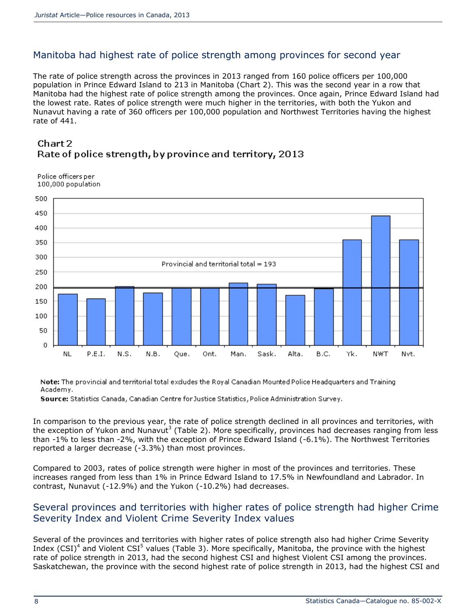# Manitoba had highest rate of police strength among provinces for second year

The rate of police strength across the provinces in 2013 ranged from 160 police officers per 100,000 population in Prince Edward Island to 213 in Manitoba (Chart 2). This was the second year in a row that Manitoba had the highest rate of police strength among the provinces. Once again, Prince Edward Island had the lowest rate. Rates of police strength were much higher in the territories, with both the Yukon and Nunavut having a rate of 360 officers per 100,000 population and Northwest Territories having the highest rate of 441.

### Chart 2 Rate of police strength, by province and territory, 2013

Police officers per 100,000 population



Note: The provincial and territorial total excludes the Royal Canadian Mounted Police Headquarters and Training Academy.

Source: Statistics Canada, Canadian Centre for Justice Statistics, Police Administration Survey.

In comparison to the previous year, the rate of police strength declined in all provinces and territories, with the exception of Yukon and Nunavut<sup>[3](http://wwwstaging.statcan.gc.ca/pub/85-002-x/2014001/article/11914-eng.htm#n3)</sup> (Table 2). More specifically, provinces had decreases ranging from less than -1% to less than -2%, with the exception of Prince Edward Island (-6.1%). The Northwest Territories reported a larger decrease (-3.3%) than most provinces.

Compared to 2003, rates of police strength were higher in most of the provinces and territories. These increases ranged from less than 1% in Prince Edward Island to 17.5% in Newfoundland and Labrador. In contrast, Nunavut (-12.9%) and the Yukon (-10.2%) had decreases.

### Several provinces and territories with higher rates of police strength had higher Crime Severity Index and Violent Crime Severity Index values

Several of the provinces and territories with higher rates of police strength also had higher Crime Severity Index (CSI)<sup>[4](http://wwwstaging.statcan.gc.ca/pub/85-002-x/2014001/article/11914-eng.htm#n4)</sup> and Violent CSI<sup>[5](http://wwwstaging.statcan.gc.ca/pub/85-002-x/2014001/article/11914-eng.htm#n5)</sup> values (Table 3). More specifically, Manitoba, the province with the highest rate of police strength in 2013, had the second highest CSI and highest Violent CSI among the provinces. Saskatchewan, the province with the second highest rate of police strength in 2013, had the highest CSI and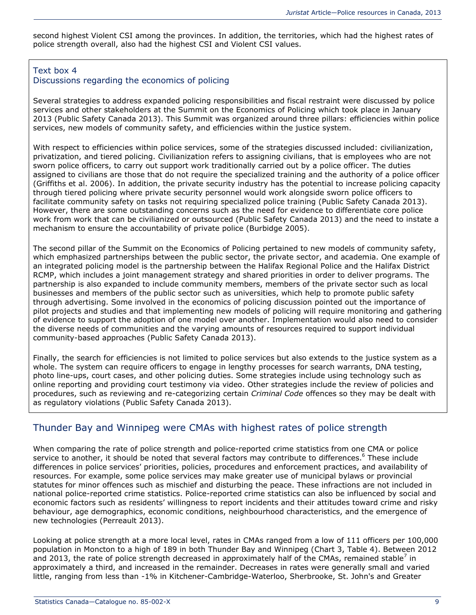second highest Violent CSI among the provinces. In addition, the territories, which had the highest rates of police strength overall, also had the highest CSI and Violent CSI values.

#### Text box 4 Discussions regarding the economics of policing

Several strategies to address expanded policing responsibilities and fiscal restraint were discussed by police services and other stakeholders at the Summit on the Economics of Policing which took place in January 2013 (Public Safety Canada 2013). This Summit was organized around three pillars: efficiencies within police services, new models of community safety, and efficiencies within the justice system.

With respect to efficiencies within police services, some of the strategies discussed included: civilianization, privatization, and tiered policing. Civilianization refers to assigning civilians, that is employees who are not sworn police officers, to carry out support work traditionally carried out by a police officer. The duties assigned to civilians are those that do not require the specialized training and the authority of a police officer (Griffiths et al. 2006). In addition, the private security industry has the potential to increase policing capacity through tiered policing where private security personnel would work alongside sworn police officers to facilitate community safety on tasks not requiring specialized police training (Public Safety Canada 2013). However, there are some outstanding concerns such as the need for evidence to differentiate core police work from work that can be civilianized or outsourced (Public Safety Canada 2013) and the need to instate a mechanism to ensure the accountability of private police (Burbidge 2005).

The second pillar of the Summit on the Economics of Policing pertained to new models of community safety, which emphasized partnerships between the public sector, the private sector, and academia. One example of an integrated policing model is the partnership between the Halifax Regional Police and the Halifax District RCMP, which includes a joint management strategy and shared priorities in order to deliver programs. The partnership is also expanded to include community members, members of the private sector such as local businesses and members of the public sector such as universities, which help to promote public safety through advertising. Some involved in the economics of policing discussion pointed out the importance of pilot projects and studies and that implementing new models of policing will require monitoring and gathering of evidence to support the adoption of one model over another. Implementation would also need to consider the diverse needs of communities and the varying amounts of resources required to support individual community-based approaches (Public Safety Canada 2013).

Finally, the search for efficiencies is not limited to police services but also extends to the justice system as a whole. The system can require officers to engage in lengthy processes for search warrants, DNA testing, photo line-ups, court cases, and other policing duties. Some strategies include using technology such as online reporting and providing court testimony via video. Other strategies include the review of policies and procedures, such as reviewing and re-categorizing certain *Criminal Code* offences so they may be dealt with as regulatory violations (Public Safety Canada 2013).

# Thunder Bay and Winnipeg were CMAs with highest rates of police strength

When comparing the rate of police strength and police-reported crime statistics from one CMA or police service to another, it should be noted that several factors may contribute to differences.<sup>[6](http://wwwstaging.statcan.gc.ca/pub/85-002-x/2014001/article/11914-eng.htm#n6)</sup> These include differences in police services' priorities, policies, procedures and enforcement practices, and availability of resources. For example, some police services may make greater use of municipal bylaws or provincial statutes for minor offences such as mischief and disturbing the peace. These infractions are not included in national police-reported crime statistics. Police-reported crime statistics can also be influenced by social and economic factors such as residents' willingness to report incidents and their attitudes toward crime and risky behaviour, age demographics, economic conditions, neighbourhood characteristics, and the emergence of new technologies (Perreault 2013).

Looking at police strength at a more local level, rates in CMAs ranged from a low of 111 officers per 100,000 population in Moncton to a high of 189 in both Thunder Bay and Winnipeg (Chart 3, Table 4). Between 2012 and 2013, th[e](http://wwwstaging.statcan.gc.ca/pub/85-002-x/2014001/article/11914-eng.htm#n7) rate of police strength decreased in approximately half of the CMAs, remained stable<sup>7</sup> in approximately a third, and increased in the remainder. Decreases in rates were generally small and varied little, ranging from less than -1% in Kitchener-Cambridge-Waterloo, Sherbrooke, St. John's and Greater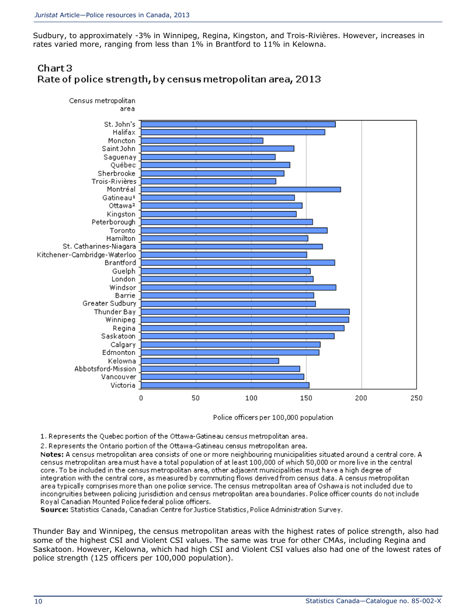Sudbury, to approximately -3% in Winnipeg, Regina, Kingston, and Trois-Rivières. However, increases in rates varied more, ranging from less than 1% in Brantford to 11% in Kelowna.

# $Char3$ Rate of police strength, by census metropolitan area, 2013



Police officers per 100,000 population

- 1. Represents the Quebec portion of the Ottawa-Gatineau census metropolitan area.
- 2. Represents the Ontario portion of the Ottawa-Gatineau census metropolitan area.

Notes: A census metropolitan area consists of one or more neighbouring municipalities situated around a central core. A census metropolitan area must have a total population of at least 100,000 of which 50,000 or more live in the central core. To be included in the census metropolitan area, other adjacent municipalities must have a high degree of integration with the central core, as measured by commuting flows derived from census data. A census metropolitan area typically comprises more than one police service. The census metropolitan area of Oshawa is not included due to incongruities between policing jurisdiction and census metropolitan area boundaries. Police officer counts do not include Royal Canadian Mounted Police federal police officers.

Source: Statistics Canada, Canadian Centre for Justice Statistics, Police Administration Survey.

Thunder Bay and Winnipeg, the census metropolitan areas with the highest rates of police strength, also had some of the highest CSI and Violent CSI values. The same was true for other CMAs, including Regina and Saskatoon. However, Kelowna, which had high CSI and Violent CSI values also had one of the lowest rates of police strength (125 officers per 100,000 population).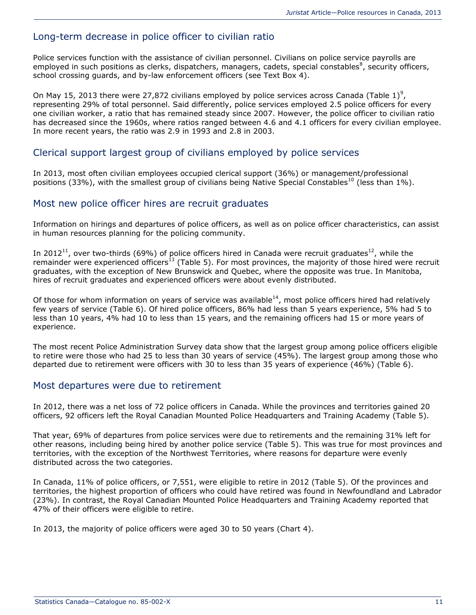## Long-term decrease in police officer to civilian ratio

Police services function with the assistance of civilian personnel. Civilians on police service payrolls are employed in such positions as clerks, dispatchers, managers, cadets, special constables<sup>[8](http://wwwstaging.statcan.gc.ca/pub/85-002-x/2014001/article/11914-eng.htm#n8)</sup>, security officers, school crossing guards, and by-law enforcement officers (see Text Box 4).

On May 15, 2013 there were 27,872 civilians employed by police services across Canada (Table 1)<sup>[9](http://wwwstaging.statcan.gc.ca/pub/85-002-x/2014001/article/11914-eng.htm#n9)</sup>, representing 29% of total personnel. Said differently, police services employed 2.5 police officers for every one civilian worker, a ratio that has remained steady since 2007. However, the police officer to civilian ratio has decreased since the 1960s, where ratios ranged between 4.6 and 4.1 officers for every civilian employee. In more recent years, the ratio was 2.9 in 1993 and 2.8 in 2003.

#### Clerical support largest group of civilians employed by police services

In 2013, most often civilian employees occupied clerical support (36%) or management/professional positions (33%), with the smallest group of civilians being Native Special Constables<sup>[10](http://wwwstaging.statcan.gc.ca/pub/85-002-x/2014001/article/11914-eng.htm#n10)</sup> (less than 1%).

#### Most new police officer hires are recruit graduates

Information on hirings and departures of police officers, as well as on police officer characteristics, can assist in human resources planning for the policing community.

In 2012<sup>[11](http://wwwstaging.statcan.gc.ca/pub/85-002-x/2014001/article/11914-eng.htm#n11)</sup>, over two-thirds (69%) of police officers hired in Canada were recruit graduates<sup>[12](http://wwwstaging.statcan.gc.ca/pub/85-002-x/2014001/article/11914-eng.htm#n12)</sup>, while the remainder were experienced officers<sup>[13](http://wwwstaging.statcan.gc.ca/pub/85-002-x/2014001/article/11914-eng.htm#n13)</sup> (Table 5). For most provinces, the majority of those hired were recruit graduates, with the exception of New Brunswick and Quebec, where the opposite was true. In Manitoba, hires of recruit graduates and experienced officers were about evenly distributed.

Of those for whom information on years of service was available<sup>[14](http://wwwstaging.statcan.gc.ca/pub/85-002-x/2014001/article/11914-eng.htm#n14)</sup>, most police officers hired had relatively few years of service (Table 6). Of hired police officers, 86% had less than 5 years experience, 5% had 5 to less than 10 years, 4% had 10 to less than 15 years, and the remaining officers had 15 or more years of experience.

The most recent Police Administration Survey data show that the largest group among police officers eligible to retire were those who had 25 to less than 30 years of service (45%). The largest group among those who departed due to retirement were officers with 30 to less than 35 years of experience (46%) (Table 6).

### Most departures were due to retirement

In 2012, there was a net loss of 72 police officers in Canada. While the provinces and territories gained 20 officers, 92 officers left the Royal Canadian Mounted Police Headquarters and Training Academy (Table 5).

That year, 69% of departures from police services were due to retirements and the remaining 31% left for other reasons, including being hired by another police service (Table 5). This was true for most provinces and territories, with the exception of the Northwest Territories, where reasons for departure were evenly distributed across the two categories.

In Canada, 11% of police officers, or 7,551, were eligible to retire in 2012 (Table 5). Of the provinces and territories, the highest proportion of officers who could have retired was found in Newfoundland and Labrador (23%). In contrast, the Royal Canadian Mounted Police Headquarters and Training Academy reported that 47% of their officers were eligible to retire.

In 2013, the majority of police officers were aged 30 to 50 years (Chart 4).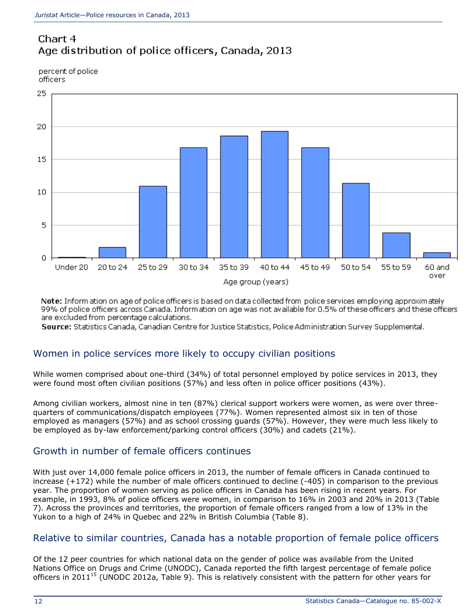# Chart 4 Age distribution of police officers, Canada, 2013

percent of police officers



Note: Inform ation on age of police officers is based on data collected from police services employing approximately 99% of police officers across Canada. Information on age was not available for 0.5% of these officers and these officers are excluded from percentage calculations.

Source: Statistics Canada, Canadian Centre for Justice Statistics, Police Administration Survey Supplemental.

# Women in police services more likely to occupy civilian positions

While women comprised about one-third (34%) of total personnel employed by police services in 2013, they were found most often civilian positions (57%) and less often in police officer positions (43%).

Among civilian workers, almost nine in ten (87%) clerical support workers were women, as were over threequarters of communications/dispatch employees (77%). Women represented almost six in ten of those employed as managers (57%) and as school crossing guards (57%). However, they were much less likely to be employed as by-law enforcement/parking control officers (30%) and cadets (21%).

# Growth in number of female officers continues

With just over 14,000 female police officers in 2013, the number of female officers in Canada continued to increase (+172) while the number of male officers continued to decline (-405) in comparison to the previous year. The proportion of women serving as police officers in Canada has been rising in recent years. For example, in 1993, 8% of police officers were women, in comparison to 16% in 2003 and 20% in 2013 (Table 7). Across the provinces and territories, the proportion of female officers ranged from a low of 13% in the Yukon to a high of 24% in Quebec and 22% in British Columbia (Table 8).

### Relative to similar countries, Canada has a notable proportion of female police officers

Of the 12 peer countries for which national data on the gender of police was available from the United Nations Office on Drugs and Crime (UNODC), Canada reported the fifth largest percentage of female police officers in 2011<sup>[15](http://wwwstaging.statcan.gc.ca/pub/85-002-x/2014001/article/11914-eng.htm#n15)</sup> (UNODC 2012a, Table 9). This is relatively consistent with the pattern for other years for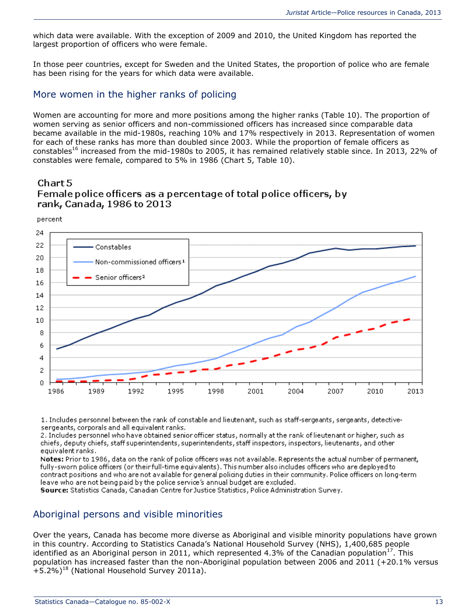which data were available. With the exception of 2009 and 2010, the United Kingdom has reported the largest proportion of officers who were female.

In those peer countries, except for Sweden and the United States, the proportion of police who are female has been rising for the years for which data were available.

#### More women in the higher ranks of policing

Women are accounting for more and more positions among the higher ranks (Table 10). The proportion of women serving as senior officers and non-commissioned officers has increased since comparable data became available in the mid-1980s, reaching 10% and 17% respectively in 2013. Representation of women for each of these ranks has more than doubled since 2003. While the proportion of female officers as constables<sup>[16](http://wwwstaging.statcan.gc.ca/pub/85-002-x/2014001/article/11914-eng.htm#n16)</sup> increased from the mid-1980s to 2005, it has remained relatively stable since. In 2013, 22% of constables were female, compared to 5% in 1986 (Chart 5, Table 10).

#### Chart 5 Female police officers as a percentage of total police officers, by rank, Canada, 1986 to 2013

percent



1. Includes personnel between the rank of constable and lieutenant, such as staff-sergeants, sergeants, detectivesergeants, corporals and all equivalent ranks.

2. Includes personnel who have obtained senior officer status, normally at the rank of lieutenant or higher, such as chiefs, deputy chiefs, staff superintendents, superintendents, staff inspectors, inspectors, lieutenants, and other equivalent ranks.

Notes: Prior to 1986, data on the rank of police officers was not available. Represents the actual number of permanent, fully-sworn police officers (or their full-time equivalents). This number also includes officers who are deployed to contract positions and who are not available for general policing duties in their community. Police officers on long-term leave who are not being paid by the police service's annual budget are excluded.

Source: Statistics Canada, Canadian Centre for Justice Statistics, Police Administration Survey.

### Aboriginal persons and visible minorities

Over the years, Canada has become more diverse as Aboriginal and visible minority populations have grown in this country. According to Statistics Canada's National Household Survey (NHS), 1,400,685 people identified as an Aboriginal person in 2011, which represented 4.3% of the Canadian population<sup>[17](http://wwwstaging.statcan.gc.ca/pub/85-002-x/2014001/article/11914-eng.htm#n17)</sup>. This population has increased faster than the non-Aboriginal population between 2006 and 2011 (+20.1% versus  $+5.2\%$ <sup>[18](http://wwwstaging.statcan.gc.ca/pub/85-002-x/2014001/article/11914-eng.htm#n18)</sup> (National Household Survey 2011a).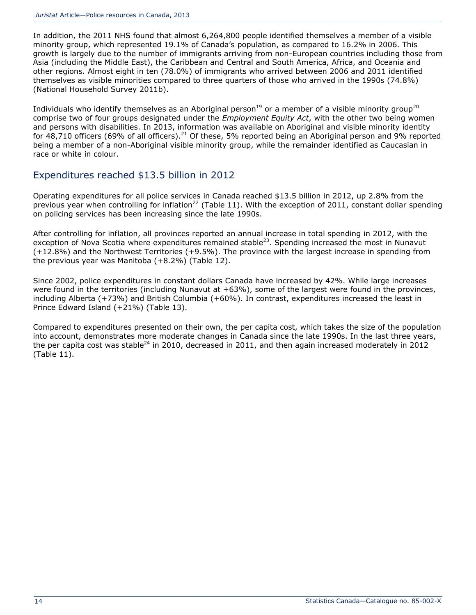In addition, the 2011 NHS found that almost 6,264,800 people identified themselves a member of a visible minority group, which represented 19.1% of Canada's population, as compared to 16.2% in 2006. This growth is largely due to the number of immigrants arriving from non-European countries including those from Asia (including the Middle East), the Caribbean and Central and South America, Africa, and Oceania and other regions. Almost eight in ten (78.0%) of immigrants who arrived between 2006 and 2011 identified themselves as visible minorities compared to three quarters of those who arrived in the 1990s (74.8%) (National Household Survey 2011b).

Individuals who identify themselves as an Aboriginal person<sup>[19](http://wwwstaging.statcan.gc.ca/pub/85-002-x/2014001/article/11914-eng.htm#n19)</sup> or a member of a visible minority group<sup>[20](http://wwwstaging.statcan.gc.ca/pub/85-002-x/2014001/article/11914-eng.htm#n20)</sup> comprise two of four groups designated under the *Employment Equity Act*, with the other two being women and persons with disabilities. In 2013, information was available on Aboriginal and visible minority identity for 48,710 officers (69% of all officers).<sup>[21](http://wwwstaging.statcan.gc.ca/pub/85-002-x/2014001/article/11914-eng.htm#n21)</sup> Of these, 5% reported being an Aboriginal person and 9% reported being a member of a non-Aboriginal visible minority group, while the remainder identified as Caucasian in race or white in colour.

### Expenditures reached \$13.5 billion in 2012

Operating expenditures for all police services in Canada reached \$13.5 billion in 2012, up 2.8% from the previous year when controlling for inflation<sup>[22](http://wwwstaging.statcan.gc.ca/pub/85-002-x/2014001/article/11914-eng.htm#n22)</sup> (Table 11). With the exception of 2011, constant dollar spending on policing services has been increasing since the late 1990s.

After controlling for inflation, all provinces reported an annual increase in total spending in 2012, with the exception of Nova Scotia where expenditures remained stable<sup>[23](http://wwwstaging.statcan.gc.ca/pub/85-002-x/2014001/article/11914-eng.htm#n23)</sup>. Spending increased the most in Nunavut (+12.8%) and the Northwest Territories (+9.5%). The province with the largest increase in spending from the previous year was Manitoba (+8.2%) (Table 12).

Since 2002, police expenditures in constant dollars Canada have increased by 42%. While large increases were found in the territories (including Nunavut at +63%), some of the largest were found in the provinces, including Alberta (+73%) and British Columbia (+60%). In contrast, expenditures increased the least in Prince Edward Island (+21%) (Table 13).

Compared to expenditures presented on their own, the per capita cost, which takes the size of the population into account, demonstrates more moderate changes in Canada since the late 1990s. In the last three years, the per capita cost was stable<sup>[24](http://wwwstaging.statcan.gc.ca/pub/85-002-x/2014001/article/11914-eng.htm#n24)</sup> in 2010, decreased in 2011, and then again increased moderately in 2012 (Table 11).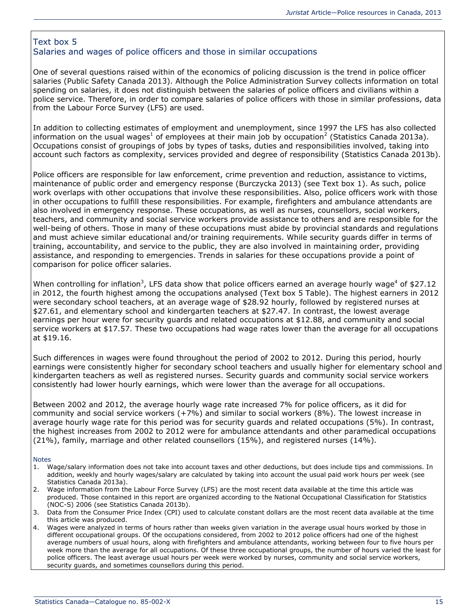#### Text box 5 Salaries and wages of police officers and those in similar occupations

One of several questions raised within of the economics of policing discussion is the trend in police officer salaries (Public Safety Canada 2013). Although the Police Administration Survey collects information on total spending on salaries, it does not distinguish between the salaries of police officers and civilians within a police service. Therefore, in order to compare salaries of police officers with those in similar professions, data from the Labour Force Survey (LFS) are used.

In addition to collecting estimates of employment and unemployment, since 1997 the LFS has also collected information on the usual wages<sup>[1](http://wwwstaging.statcan.gc.ca/pub/85-002-x/2014001/article/11914-eng.htm#n5bx1)</sup> of employees at their main job by occupation<sup>[2](http://wwwstaging.statcan.gc.ca/pub/85-002-x/2014001/article/11914-eng.htm#n5bx2)</sup> (Statistics Canada 2013a). Occupations consist of groupings of jobs by types of tasks, duties and responsibilities involved, taking into account such factors as complexity, services provided and degree of responsibility (Statistics Canada 2013b).

Police officers are responsible for law enforcement, crime prevention and reduction, assistance to victims, maintenance of public order and emergency response (Burczycka 2013) (see Text box 1). As such, police work overlaps with other occupations that involve these responsibilities. Also, police officers work with those in other occupations to fulfill these responsibilities. For example, firefighters and ambulance attendants are also involved in emergency response. These occupations, as well as nurses, counsellors, social workers, teachers, and community and social service workers provide assistance to others and are responsible for the well-being of others. Those in many of these occupations must abide by provincial standards and regulations and must achieve similar educational and/or training requirements. While security guards differ in terms of training, accountability, and service to the public, they are also involved in maintaining order, providing assistance, and responding to emergencies. Trends in salaries for these occupations provide a point of comparison for police officer salaries.

When controlling for inflation<sup>[3](http://wwwstaging.statcan.gc.ca/pub/85-002-x/2014001/article/11914-eng.htm#n5bx3)</sup>, LFS data show that polic[e](http://wwwstaging.statcan.gc.ca/pub/85-002-x/2014001/article/11914-eng.htm#n5bx4) officers earned an average hourly wage<sup>4</sup> of \$27.12 in 2012, the fourth highest among the occupations analysed (Text box 5 Table). The highest earners in 2012 were secondary school teachers, at an average wage of \$28.92 hourly, followed by registered nurses at \$27.61, and elementary school and kindergarten teachers at \$27.47. In contrast, the lowest average earnings per hour were for security guards and related occupations at \$12.88, and community and social service workers at \$17.57. These two occupations had wage rates lower than the average for all occupations at \$19.16.

Such differences in wages were found throughout the period of 2002 to 2012. During this period, hourly earnings were consistently higher for secondary school teachers and usually higher for elementary school and kindergarten teachers as well as registered nurses. Security guards and community social service workers consistently had lower hourly earnings, which were lower than the average for all occupations.

Between 2002 and 2012, the average hourly wage rate increased 7% for police officers, as it did for community and social service workers (+7%) and similar to social workers (8%). The lowest increase in average hourly wage rate for this period was for security guards and related occupations (5%). In contrast, the highest increases from 2002 to 2012 were for ambulance attendants and other paramedical occupations (21%), family, marriage and other related counsellors (15%), and registered nurses (14%).

#### **Notes**

- 1. Wage/salary information does not take into account taxes and other deductions, but does include tips and commissions. In addition, weekly and hourly wages/salary are calculated by taking into account the usual paid work hours per week (see Statistics Canada 2013a).
- 2. Wage information from the Labour Force Survey (LFS) are the most recent data available at the time this article was produced. Those contained in this report are organized according to the National Occupational Classification for Statistics (NOC-S) 2006 (see Statistics Canada 2013b).
- 3. Data from the Consumer Price Index (CPI) used to calculate constant dollars are the most recent data available at the time this article was produced.
- 4. Wages were analyzed in terms of hours rather than weeks given variation in the average usual hours worked by those in different occupational groups. Of the occupations considered, from 2002 to 2012 police officers had one of the highest average numbers of usual hours, along with firefighters and ambulance attendants, working between four to five hours per week more than the average for all occupations. Of these three occupational groups, the number of hours varied the least for police officers. The least average usual hours per week were worked by nurses, community and social service workers, security guards, and sometimes counsellors during this period.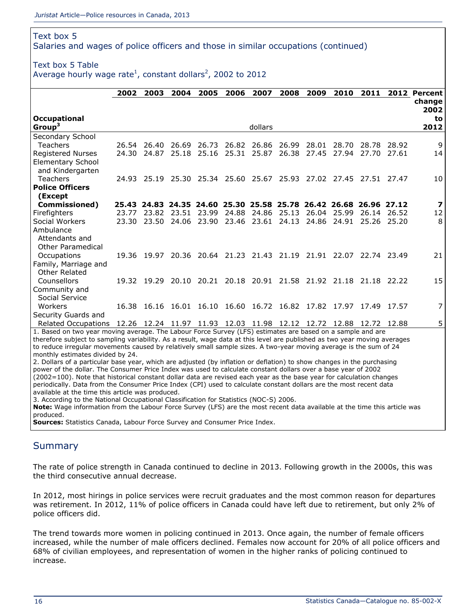#### Text box 5

Salaries and wages of police officers and those in similar occupations (continued)

#### Text box 5 Table

Average hourly wage rate<sup>[1](http://wwwstaging.statcan.gc.ca/pub/85-002-x/2014001/article/11914-eng.htm#txt5tbln_1)</sup>, constant dollars<sup>[2](http://wwwstaging.statcan.gc.ca/pub/85-002-x/2014001/article/11914-eng.htm#txt5tbln_2)</sup>, 2002 to 2012

|                                                                                                                   | 2002                                                                                                                      | 2003              | 2004  | 2005        | 2006  | 2007    | 2008                                                              | 2009  | 2010        | 2011  |       | 2012 Percent       |
|-------------------------------------------------------------------------------------------------------------------|---------------------------------------------------------------------------------------------------------------------------|-------------------|-------|-------------|-------|---------|-------------------------------------------------------------------|-------|-------------|-------|-------|--------------------|
|                                                                                                                   |                                                                                                                           |                   |       |             |       |         |                                                                   |       |             |       |       | change             |
| <b>Occupational</b><br>Group <sup>3</sup>                                                                         |                                                                                                                           |                   |       |             |       | dollars |                                                                   |       |             |       |       | 2002<br>to<br>2012 |
| Secondary School                                                                                                  |                                                                                                                           |                   |       |             |       |         |                                                                   |       |             |       |       |                    |
| <b>Teachers</b>                                                                                                   |                                                                                                                           | 26.54 26.40       | 26.69 | 26.73       | 26.82 | 26.86   | 26.99                                                             | 28.01 | 28.70       | 28.78 | 28.92 | 9                  |
| <b>Registered Nurses</b>                                                                                          |                                                                                                                           | 24.30 24.87       |       | 25.18 25.16 | 25.31 | 25.87   | 26.38                                                             | 27.45 | 27.94       | 27.70 | 27.61 | 14                 |
| <b>Elementary School</b><br>and Kindergarten                                                                      |                                                                                                                           |                   |       |             |       |         |                                                                   |       |             |       |       |                    |
| <b>Teachers</b>                                                                                                   |                                                                                                                           |                   |       |             |       |         | 24.93 25.19 25.30 25.34 25.60 25.67 25.93 27.02 27.45 27.51 27.47 |       |             |       |       | 10                 |
| <b>Police Officers</b>                                                                                            |                                                                                                                           |                   |       |             |       |         |                                                                   |       |             |       |       |                    |
| (Except                                                                                                           |                                                                                                                           |                   |       |             |       |         |                                                                   |       |             |       |       |                    |
| Commissioned)                                                                                                     |                                                                                                                           |                   |       |             |       |         | 25.43 24.83 24.35 24.60 25.30 25.58 25.78 26.42 26.68 26.96 27.12 |       |             |       |       | $\boldsymbol{7}$   |
| Firefighters                                                                                                      |                                                                                                                           | 23.77 23.82 23.51 |       | 23.99       | 24.88 | 24.86   | 25.13                                                             |       | 26.04 25.99 | 26.14 | 26.52 | 12                 |
| Social Workers                                                                                                    |                                                                                                                           | 23.30 23.50       | 24.06 | 23.90       | 23.46 |         | 23.61 24.13                                                       | 24.86 | 24.91       | 25.26 | 25.20 | 8                  |
| Ambulance                                                                                                         |                                                                                                                           |                   |       |             |       |         |                                                                   |       |             |       |       |                    |
| Attendants and<br>Other Paramedical                                                                               |                                                                                                                           |                   |       |             |       |         |                                                                   |       |             |       |       |                    |
|                                                                                                                   |                                                                                                                           |                   |       |             |       |         | 19.36 19.97 20.36 20.64 21.23 21.43 21.19 21.91 22.07 22.74 23.49 |       |             |       |       | 21                 |
| Occupations<br>Family, Marriage and                                                                               |                                                                                                                           |                   |       |             |       |         |                                                                   |       |             |       |       |                    |
| Other Related                                                                                                     |                                                                                                                           |                   |       |             |       |         |                                                                   |       |             |       |       |                    |
| Counsellors                                                                                                       |                                                                                                                           |                   |       |             |       |         | 19.32 19.29 20.10 20.21 20.18 20.91 21.58 21.92 21.18 21.18 22.22 |       |             |       |       | 15                 |
| Community and                                                                                                     |                                                                                                                           |                   |       |             |       |         |                                                                   |       |             |       |       |                    |
| Social Service                                                                                                    |                                                                                                                           |                   |       |             |       |         |                                                                   |       |             |       |       |                    |
| Workers                                                                                                           |                                                                                                                           |                   |       |             |       |         | 16.38 16.16 16.01 16.10 16.60 16.72 16.82 17.82 17.97 17.49 17.57 |       |             |       |       | 7                  |
| Security Guards and                                                                                               |                                                                                                                           |                   |       |             |       |         |                                                                   |       |             |       |       |                    |
|                                                                                                                   | 5<br>Related Occupations 12.26 12.24 11.97 11.93 12.03 11.98 12.12 12.72 12.88 12.72 12.88                                |                   |       |             |       |         |                                                                   |       |             |       |       |                    |
|                                                                                                                   | 1. Based on two year moving average. The Labour Force Survey (LFS) estimates are based on a sample and are                |                   |       |             |       |         |                                                                   |       |             |       |       |                    |
|                                                                                                                   | therefore subject to sampling variability. As a result, wage data at this level are published as two year moving averages |                   |       |             |       |         |                                                                   |       |             |       |       |                    |
| to reduce irregular movements caused by relatively small sample sizes. A two-year moving average is the sum of 24 |                                                                                                                           |                   |       |             |       |         |                                                                   |       |             |       |       |                    |
| monthly estimates divided by 24.                                                                                  |                                                                                                                           |                   |       |             |       |         |                                                                   |       |             |       |       |                    |

2. Dollars of a particular base year, which are adjusted (by inflation or deflation) to show changes in the purchasing power of the dollar. The Consumer Price Index was used to calculate constant dollars over a base year of 2002 (2002=100). Note that historical constant dollar data are revised each year as the base year for calculation changes periodically. Data from the Consumer Price Index (CPI) used to calculate constant dollars are the most recent data available at the time this article was produced.

3. According to the National Occupational Classification for Statistics (NOC-S) 2006.

**Note:** Wage information from the Labour Force Survey (LFS) are the most recent data available at the time this article was produced.

**Sources:** Statistics Canada, Labour Force Survey and Consumer Price Index.

### **Summary**

The rate of police strength in Canada continued to decline in 2013. Following growth in the 2000s, this was the third consecutive annual decrease.

In 2012, most hirings in police services were recruit graduates and the most common reason for departures was retirement. In 2012, 11% of police officers in Canada could have left due to retirement, but only 2% of police officers did.

The trend towards more women in policing continued in 2013. Once again, the number of female officers increased, while the number of male officers declined. Females now account for 20% of all police officers and 68% of civilian employees, and representation of women in the higher ranks of policing continued to increase.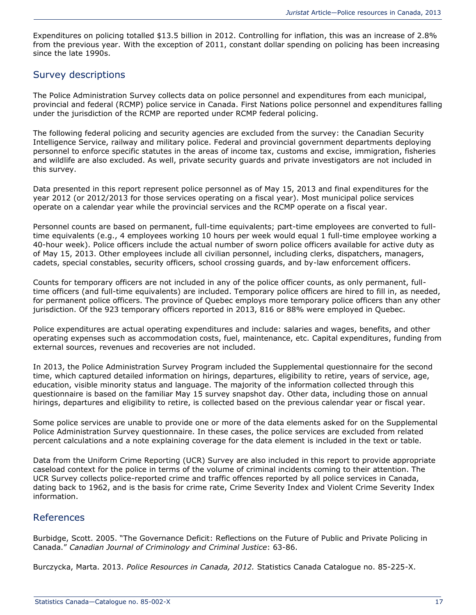Expenditures on policing totalled \$13.5 billion in 2012. Controlling for inflation, this was an increase of 2.8% from the previous year. With the exception of 2011, constant dollar spending on policing has been increasing since the late 1990s.

### Survey descriptions

The Police Administration Survey collects data on police personnel and expenditures from each municipal, provincial and federal (RCMP) police service in Canada. First Nations police personnel and expenditures falling under the jurisdiction of the RCMP are reported under RCMP federal policing.

The following federal policing and security agencies are excluded from the survey: the Canadian Security Intelligence Service, railway and military police. Federal and provincial government departments deploying personnel to enforce specific statutes in the areas of income tax, customs and excise, immigration, fisheries and wildlife are also excluded. As well, private security guards and private investigators are not included in this survey.

Data presented in this report represent police personnel as of May 15, 2013 and final expenditures for the year 2012 (or 2012/2013 for those services operating on a fiscal year). Most municipal police services operate on a calendar year while the provincial services and the RCMP operate on a fiscal year.

Personnel counts are based on permanent, full-time equivalents; part-time employees are converted to fulltime equivalents (e.g., 4 employees working 10 hours per week would equal 1 full-time employee working a 40-hour week). Police officers include the actual number of sworn police officers available for active duty as of May 15, 2013. Other employees include all civilian personnel, including clerks, dispatchers, managers, cadets, special constables, security officers, school crossing guards, and by-law enforcement officers.

Counts for temporary officers are not included in any of the police officer counts, as only permanent, fulltime officers (and full-time equivalents) are included. Temporary police officers are hired to fill in, as needed, for permanent police officers. The province of Quebec employs more temporary police officers than any other jurisdiction. Of the 923 temporary officers reported in 2013, 816 or 88% were employed in Quebec.

Police expenditures are actual operating expenditures and include: salaries and wages, benefits, and other operating expenses such as accommodation costs, fuel, maintenance, etc. Capital expenditures, funding from external sources, revenues and recoveries are not included.

In 2013, the Police Administration Survey Program included the Supplemental questionnaire for the second time, which captured detailed information on hirings, departures, eligibility to retire, years of service, age, education, visible minority status and language. The majority of the information collected through this questionnaire is based on the familiar May 15 survey snapshot day. Other data, including those on annual hirings, departures and eligibility to retire, is collected based on the previous calendar year or fiscal year.

Some police services are unable to provide one or more of the data elements asked for on the Supplemental Police Administration Survey questionnaire. In these cases, the police services are excluded from related percent calculations and a note explaining coverage for the data element is included in the text or table.

Data from the Uniform Crime Reporting (UCR) Survey are also included in this report to provide appropriate caseload context for the police in terms of the volume of criminal incidents coming to their attention. The UCR Survey collects police-reported crime and traffic offences reported by all police services in Canada, dating back to 1962, and is the basis for crime rate, Crime Severity Index and Violent Crime Severity Index information.

### References

Burbidge, Scott. 2005. "The Governance Deficit: Reflections on the Future of Public and Private Policing in Canada." *Canadian Journal of Criminology and Criminal Justice*: 63-86.

Burczycka, Marta. 2013. *Police Resources in Canada, 2012.* Statistics Canada Catalogue no. 85-225-X.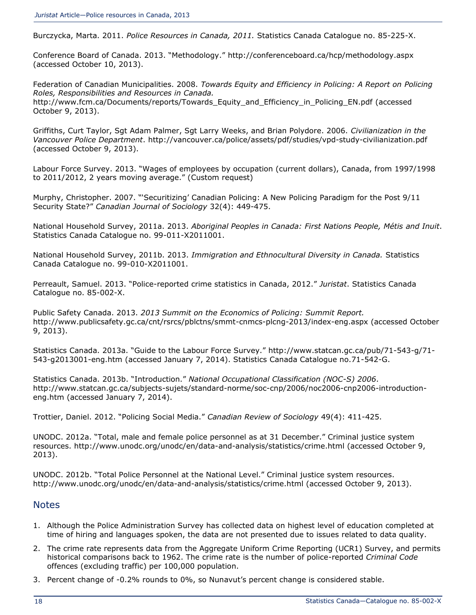Burczycka, Marta. 2011. *Police Resources in Canada, 2011.* Statistics Canada Catalogue no. 85-225-X.

Conference Board of Canada. 2013. "Methodology." <http://conferenceboard.ca/hcp/methodology.aspx> (accessed October 10, 2013).

Federation of Canadian Municipalities. 2008. *Towards Equity and Efficiency in Policing: A Report on Policing Roles, Responsibilities and Resources in Canada.* [http://www.fcm.ca/Documents/reports/Towards\\_Equity\\_and\\_Efficiency\\_in\\_Policing\\_EN.pdf](http://www.fcm.ca/Documents/reports/Towards_Equity_and_Efficiency_in_Policing_EN.pdf) (accessed October 9, 2013).

Griffiths, Curt Taylor, Sgt Adam Palmer, Sgt Larry Weeks, and Brian Polydore. 2006. *Civilianization in the Vancouver Police Department*.<http://vancouver.ca/police/assets/pdf/studies/vpd-study-civilianization.pdf> (accessed October 9, 2013).

Labour Force Survey. 2013. "Wages of employees by occupation (current dollars), Canada, from 1997/1998 to 2011/2012, 2 years moving average." (Custom request)

Murphy, Christopher. 2007. "'Securitizing' Canadian Policing: A New Policing Paradigm for the Post 9/11 Security State?" *Canadian Journal of Sociology* 32(4): 449-475.

National Household Survey, 2011a. 2013. *Aboriginal Peoples in Canada: First Nations People, Métis and Inuit*. Statistics Canada Catalogue no. 99-011-X2011001.

National Household Survey, 2011b. 2013. *Immigration and Ethnocultural Diversity in Canada.* Statistics Canada Catalogue no. 99-010-X2011001.

Perreault, Samuel. 2013. "Police-reported crime statistics in Canada, 2012." *Juristat*. Statistics Canada Catalogue no. 85-002-X.

Public Safety Canada. 2013. *2013 Summit on the Economics of Policing: Summit Report.* <http://www.publicsafety.gc.ca/cnt/rsrcs/pblctns/smmt-cnmcs-plcng-2013/index-eng.aspx> (accessed October 9, 2013).

Statistics Canada. 2013a. "Guide to the Labour Force Survey." [http://www.statcan.gc.ca/pub/71-543-g/71-](http://www.statcan.gc.ca/pub/71-543-g/71-543-g2013001-eng.htm) [543-g2013001-eng.htm](http://www.statcan.gc.ca/pub/71-543-g/71-543-g2013001-eng.htm) (accessed January 7, 2014). Statistics Canada Catalogue no.71-542-G.

Statistics Canada. 2013b. "Introduction." *National Occupational Classification (NOC-S) 2006*. [http://www.statcan.gc.ca/subjects-sujets/standard-norme/soc-cnp/2006/noc2006-cnp2006-introduction](http://www.statcan.gc.ca/subjects-sujets/standard-norme/soc-cnp/2006/noc2006-cnp2006-introduction-eng.htm)[eng.htm](http://www.statcan.gc.ca/subjects-sujets/standard-norme/soc-cnp/2006/noc2006-cnp2006-introduction-eng.htm) (accessed January 7, 2014).

Trottier, Daniel. 2012. "Policing Social Media." *Canadian Review of Sociology* 49(4): 411-425.

UNODC. 2012a. "Total, male and female police personnel as at 31 December." Criminal justice system resources.<http://www.unodc.org/unodc/en/data-and-analysis/statistics/crime.html> (accessed October 9, 2013).

UNODC. 2012b. "Total Police Personnel at the National Level." Criminal justice system resources. <http://www.unodc.org/unodc/en/data-and-analysis/statistics/crime.html> (accessed October 9, 2013).

#### **Notes**

- 1. Although the Police Administration Survey has collected data on highest level of education completed at time of hiring and languages spoken, the data are not presented due to issues related to data quality.
- 2. The crime rate represents data from the Aggregate Uniform Crime Reporting (UCR1) Survey, and permits historical comparisons back to 1962. The crime rate is the number of police-reported *Criminal Code* offences (excluding traffic) per 100,000 population.
- 3. Percent change of -0.2% rounds to 0%, so Nunavut's percent change is considered stable.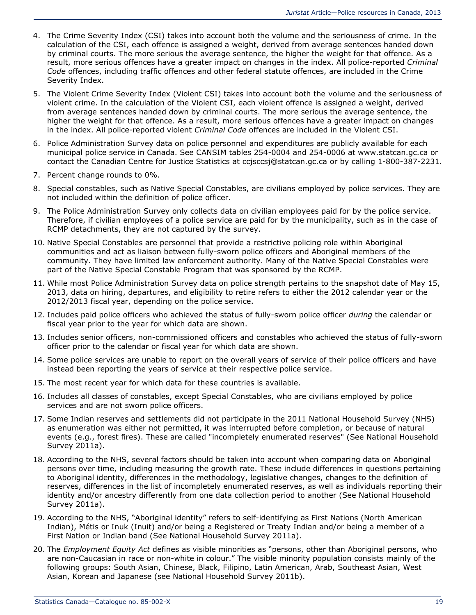- 4. The Crime Severity Index (CSI) takes into account both the volume and the seriousness of crime. In the calculation of the CSI, each offence is assigned a weight, derived from average sentences handed down by criminal courts. The more serious the average sentence, the higher the weight for that offence. As a result, more serious offences have a greater impact on changes in the index. All police-reported *Criminal Code* offences, including traffic offences and other federal statute offences, are included in the Crime Severity Index.
- 5. The Violent Crime Severity Index (Violent CSI) takes into account both the volume and the seriousness of violent crime. In the calculation of the Violent CSI, each violent offence is assigned a weight, derived from average sentences handed down by criminal courts. The more serious the average sentence, the higher the weight for that offence. As a result, more serious offences have a greater impact on changes in the index. All police-reported violent *Criminal Code* offences are included in the Violent CSI.
- 6. Police Administration Survey data on police personnel and expenditures are publicly available for each municipal police service in Canada. See CANSIM tables 254-0004 and 254-0006 at [www.statcan.gc.ca](http://www.statcan.gc.ca/) or contact the Canadian Centre for Justice Statistics at [ccjsccsj@statcan.gc.ca](mailto:ccjsccsj@statcan.gc.ca) or by calling 1-800-387-2231.
- 7. Percent change rounds to 0%.
- 8. Special constables, such as Native Special Constables, are civilians employed by police services. They are not included within the definition of police officer.
- 9. The Police Administration Survey only collects data on civilian employees paid for by the police service. Therefore, if civilian employees of a police service are paid for by the municipality, such as in the case of RCMP detachments, they are not captured by the survey.
- 10. Native Special Constables are personnel that provide a restrictive policing role within Aboriginal communities and act as liaison between fully-sworn police officers and Aboriginal members of the community. They have limited law enforcement authority. Many of the Native Special Constables were part of the Native Special Constable Program that was sponsored by the RCMP.
- 11. While most Police Administration Survey data on police strength pertains to the snapshot date of May 15, 2013, data on hiring, departures, and eligibility to retire refers to either the 2012 calendar year or the 2012/2013 fiscal year, depending on the police service.
- 12. Includes paid police officers who achieved the status of fully-sworn police officer *during* the calendar or fiscal year prior to the year for which data are shown.
- 13. Includes senior officers, non-commissioned officers and constables who achieved the status of fully-sworn officer prior to the calendar or fiscal year for which data are shown.
- 14. Some police services are unable to report on the overall years of service of their police officers and have instead been reporting the years of service at their respective police service.
- 15. The most recent year for which data for these countries is available.
- 16. Includes all classes of constables, except Special Constables, who are civilians employed by police services and are not sworn police officers.
- 17. Some Indian reserves and settlements did not participate in the 2011 National Household Survey (NHS) as enumeration was either not permitted, it was interrupted before completion, or because of natural events (e.g., forest fires). These are called "incompletely enumerated reserves" (See National Household Survey 2011a).
- 18. According to the NHS, several factors should be taken into account when comparing data on Aboriginal persons over time, including measuring the growth rate. These include differences in questions pertaining to Aboriginal identity, differences in the methodology, legislative changes, changes to the definition of reserves, differences in the list of incompletely enumerated reserves, as well as individuals reporting their identity and/or ancestry differently from one data collection period to another (See National Household Survey 2011a).
- 19. According to the NHS, "Aboriginal identity" refers to self-identifying as First Nations (North American Indian), Métis or Inuk (Inuit) and/or being a Registered or Treaty Indian and/or being a member of a First Nation or Indian band (See National Household Survey 2011a).
- 20. The *Employment Equity Act* defines as visible minorities as "persons, other than Aboriginal persons, who are non-Caucasian in race or non-white in colour." The visible minority population consists mainly of the following groups: South Asian, Chinese, Black, Filipino, Latin American, Arab, Southeast Asian, West Asian, Korean and Japanese (see National Household Survey 2011b).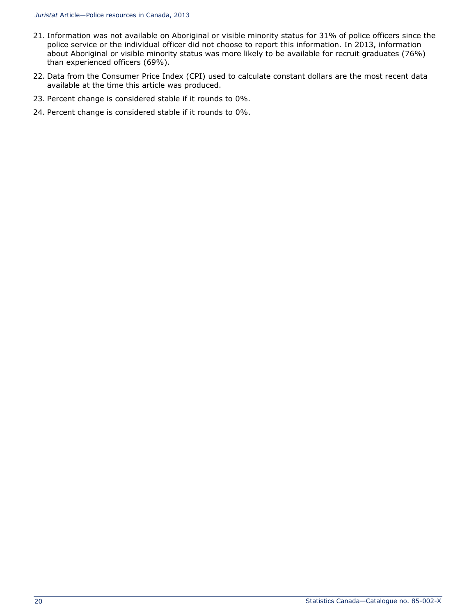- 21. Information was not available on Aboriginal or visible minority status for 31% of police officers since the police service or the individual officer did not choose to report this information. In 2013, information about Aboriginal or visible minority status was more likely to be available for recruit graduates (76%) than experienced officers (69%).
- 22. Data from the Consumer Price Index (CPI) used to calculate constant dollars are the most recent data available at the time this article was produced.
- 23. Percent change is considered stable if it rounds to 0%.
- 24. Percent change is considered stable if it rounds to 0%.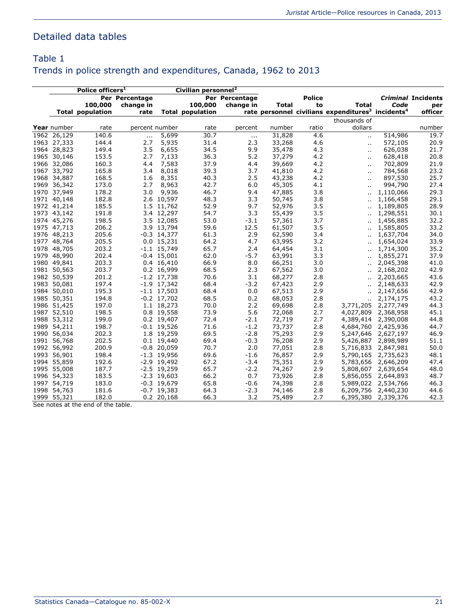# Detailed data tables

# Table 1 Trends in police strength and expenditures, Canada, 1962 to 2013

| Police officers <sup>1</sup> |                         |                |               | Civilian personnel <sup>2</sup> |                |              |               |                                                                           |           |                           |
|------------------------------|-------------------------|----------------|---------------|---------------------------------|----------------|--------------|---------------|---------------------------------------------------------------------------|-----------|---------------------------|
|                              |                         | Per Percentage |               |                                 | Per Percentage |              | <b>Police</b> |                                                                           |           | <b>Criminal Incidents</b> |
|                              | 100,000                 | change in      |               | 100,000                         | change in      | <b>Total</b> | to            | <b>Total</b>                                                              | Code      | per                       |
|                              | <b>Total population</b> | rate           |               | <b>Total population</b>         |                |              |               | rate personnel civilians expenditures <sup>3</sup> incidents <sup>4</sup> |           | officer                   |
|                              |                         |                |               |                                 |                |              |               | thousands of                                                              |           |                           |
| Year number                  | rate                    | percent number |               | rate                            | percent        | number       | ratio         | dollars                                                                   |           | number                    |
| 1962 26,129                  | 140.6                   | $\cdots$       | 5,699         | 30.7                            | $\cdots$       | 31,828       | 4.6           | $\ddotsc$                                                                 | 514,986   | 19.7                      |
| 1963 27,333                  | 144.4                   | 2.7            | 5,935         | 31.4                            | 2.3            | 33,268       | 4.6           | ò.                                                                        | 572,105   | 20.9                      |
| 1964 28,823                  | 149.4                   | 3.5            | 6,655         | 34.5                            | 9.9            | 35,478       | 4.3           | н.                                                                        | 626,038   | 21.7                      |
| 1965 30,146                  | 153.5                   | 2.7            | 7,133         | 36.3                            | 5.2            | 37,279       | 4.2           | ò.                                                                        | 628,418   | 20.8                      |
| 1966 32,086                  | 160.3                   | 4.4            | 7,583         | 37.9                            | 4.4            | 39,669       | 4.2           |                                                                           | 702,809   | 21.9                      |
| 1967 33,792                  | 165.8                   | 3.4            | 8,018         | 39.3                            | 3.7            | 41,810       | 4.2           | ò.                                                                        | 784,568   | 23.2                      |
| 1968 34,887                  | 168.5                   | 1.6            | 8,351         | 40.3                            | 2.5            | 43,238       | 4.2           | н.                                                                        | 897,530   | 25.7                      |
| 1969 36,342                  | 173.0                   | 2.7            | 8,963         | 42.7                            | 6.0            | 45,305       | 4.1           | н.                                                                        | 994,790   | 27.4                      |
| 1970 37,949                  | 178.2                   | 3.0            | 9,936         | 46.7                            | 9.4            | 47,885       | 3.8           | ò.                                                                        | 1,110,066 | 29.3                      |
| 1971 40,148                  | 182.8                   |                | 2.6 10,597    | 48.3                            | 3.3            | 50,745       | 3.8           | ä.                                                                        | 1,166,458 | 29.1                      |
| 1972 41,214                  | 185.5                   |                | 1.5 11,762    | 52.9                            | 9.7            | 52,976       | 3.5           |                                                                           | 1,189,805 | 28.9                      |
| 1973 43,142                  | 191.8                   |                | 3.4 12,297    | 54.7                            | 3.3            | 55,439       | 3.5           | н.                                                                        | 1,298,551 | 30.1                      |
| 1974 45,276                  | 198.5                   |                | 3.5 12,085    | 53.0                            | $-3.1$         | 57,361       | 3.7           | н.                                                                        | 1,456,885 | 32.2                      |
| 1975 47,713                  | 206.2                   |                | 3.9 13,794    | 59.6                            | 12.5           | 61,507       | 3.5           |                                                                           | 1,585,805 | 33.2                      |
| 1976 48,213                  | 205.6                   |                | $-0.3$ 14,377 | 61.3                            | 2.9            | 62,590       | 3.4           | ò.                                                                        | 1,637,704 | 34.0                      |
| 1977 48,764                  | 205.5                   |                | $0.0$ 15,231  | 64.2                            | 4.7            | 63,995       | 3.2           | άú.                                                                       | 1,654,024 | 33.9                      |
| 1978 48,705                  | 203.2                   |                | $-1.1$ 15,749 | 65.7                            | 2.4            | 64,454       | 3.1           | ä.                                                                        | 1,714,300 | 35.2                      |
| 1979 48,990                  | 202.4                   |                | $-0.4$ 15,001 | 62.0                            | $-5.7$         | 63,991       | 3.3           | άú.                                                                       | 1,855,271 | 37.9                      |
| 1980 49,841                  | 203.3                   |                | 0.4 16,410    | 66.9                            | 8.0            | 66,251       | 3.0           | Ш.                                                                        | 2,045,398 | 41.0                      |
| 1981 50,563                  | 203.7                   |                | 0.2 16,999    | 68.5                            | 2.3            | 67,562       | 3.0           | άú.                                                                       | 2,168,202 | 42.9                      |
| 1982 50,539                  | 201.2                   |                | $-1.2$ 17,738 | 70.6                            | 3.1            | 68,277       | 2.8           | н.                                                                        | 2,203,665 | 43.6                      |
| 1983 50,081                  | 197.4                   |                | $-1.9$ 17,342 | 68.4                            | $-3.2$         | 67,423       | 2.9           | н.                                                                        | 2,148,633 | 42.9                      |
| 1984 50,010                  | 195.3                   |                | $-1.1$ 17,503 | 68.4                            | 0.0            | 67,513       | 2.9           | н.                                                                        | 2,147,656 | 42.9                      |
| 1985 50,351                  | 194.8                   |                | $-0.2$ 17,702 | 68.5                            | 0.2            | 68,053       | 2.8           |                                                                           | 2,174,175 | 43.2                      |
| 1986 51,425                  | 197.0                   |                | 1.1 18,273    | 70.0                            | 2.2            | 69,698       | 2.8           | 3,771,205                                                                 | 2,277,749 | 44.3                      |
| 1987 52,510                  | 198.5                   |                | 0.8 19,558    | 73.9                            | 5.6            | 72,068       | 2.7           | 4,027,809                                                                 | 2,368,958 | 45.1                      |
| 1988 53,312                  | 199.0                   |                | 0.2 19,407    | 72.4                            | $-2.1$         | 72,719       | 2.7           | 4,389,414                                                                 | 2,390,008 | 44.8                      |
| 1989 54,211                  | 198.7                   |                | $-0.1$ 19,526 | 71.6                            | $-1.2$         | 73,737       | 2.8           | 4,684,760                                                                 | 2,425,936 | 44.7                      |
| 1990 56,034                  | 202.3                   |                | 1.8 19,259    | 69.5                            | $-2.8$         | 75,293       | 2.9           | 5,247,646                                                                 | 2,627,197 | 46.9                      |
| 1991 56,768                  | 202.5                   |                | 0.1 19,440    | 69.4                            | $-0.3$         | 76,208       | 2.9           | 5,426,887                                                                 | 2,898,989 | 51.1                      |
| 1992 56,992                  | 200.9                   |                | $-0.8$ 20,059 | 70.7                            | 2.0            | 77,051       | 2.8           | 5,716,833                                                                 | 2,847,981 | 50.0                      |
| 1993 56,901                  | 198.4                   |                | $-1.3$ 19,956 | 69.6                            | $-1.6$         | 76,857       | 2.9           | 5,790,165                                                                 | 2,735,623 | 48.1                      |
| 1994 55,859                  | 192.6                   |                | $-2.9$ 19,492 | 67.2                            | $-3.4$         | 75,351       | 2.9           | 5,783,656                                                                 | 2,646,209 | 47.4                      |
| 1995 55,008                  | 187.7                   |                | $-2.5$ 19,259 | 65.7                            | $-2.2$         | 74,267       | 2.9           | 5,808,607                                                                 | 2,639,654 | 48.0                      |
| 1996 54,323                  | 183.5                   |                | $-2.3$ 19,603 | 66.2                            | 0.7            | 73,926       | 2.8           | 5,856,055                                                                 | 2,644,893 | 48.7                      |
| 1997 54,719                  | 183.0                   |                | $-0.3$ 19,679 | 65.8                            | $-0.6$         | 74,398       | 2.8           | 5,989,022                                                                 | 2,534,766 | 46.3                      |
| 1998 54,763                  | 181.6                   |                | $-0.7$ 19,383 | 64.3                            | $-2.3$         | 74,146       | 2.8           | 6,209,756                                                                 | 2,440,230 | 44.6                      |
| 1999 55,321                  | 182.0                   |                | $0.2$ 20,168  | 66.3                            | 3.2            | 75,489       | 2.7           | 6,395,380                                                                 | 2,339,376 | 42.3                      |

See notes at the end of the table.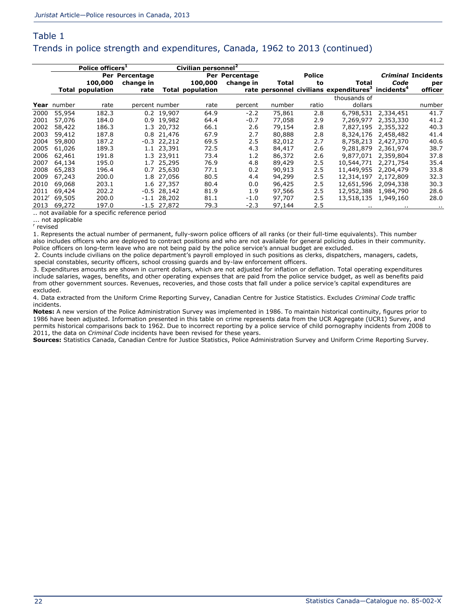### Table 1 Trends in police strength and expenditures, Canada, 1962 to 2013 (continued)

|                   |             | Police officers <sup>1</sup> |                |               | Civilian personnel <sup>2</sup> |                |        |        |                                                                           |           |                           |
|-------------------|-------------|------------------------------|----------------|---------------|---------------------------------|----------------|--------|--------|---------------------------------------------------------------------------|-----------|---------------------------|
|                   |             |                              | Per Percentage |               |                                 | Per Percentage |        | Police |                                                                           |           | <i>Criminal</i> Incidents |
|                   |             | 100,000                      | change in      |               | 100,000                         | change in      | Total  | to     | Total                                                                     | Code      | per                       |
|                   |             | <b>Total population</b>      | rate           |               | <b>Total population</b>         |                |        |        | rate personnel civilians expenditures <sup>3</sup> incidents <sup>4</sup> |           | officer                   |
|                   |             |                              |                |               |                                 |                |        |        | thousands of                                                              |           |                           |
|                   | Year number | rate                         | percent number |               | rate                            | percent        | number | ratio  | dollars                                                                   |           | number                    |
| 2000              | 55,954      | 182.3                        |                | 0.2 19,907    | 64.9                            | $-2.2$         | 75,861 | 2.8    | 6,798,531                                                                 | 2,334,451 | 41.7                      |
| 2001              | 57,076      | 184.0                        |                | 0.9 19.982    | 64.4                            | $-0.7$         | 77,058 | 2.9    | 7,269,977                                                                 | 2,353,330 | 41.2                      |
| 2002              | 58,422      | 186.3                        |                | 1.3 20,732    | 66.1                            | 2.6            | 79,154 | 2.8    | 7,827,195                                                                 | 2,355,322 | 40.3                      |
| 2003              | 59,412      | 187.8                        |                | 0.8 21,476    | 67.9                            | 2.7            | 80,888 | 2.8    | 8,324,176                                                                 | 2,458,482 | 41.4                      |
| 2004              | 59,800      | 187.2                        |                | $-0.3$ 22,212 | 69.5                            | 2.5            | 82,012 | 2.7    | 8,758,213                                                                 | 2,427,370 | 40.6                      |
| 2005              | 61,026      | 189.3                        |                | 1.1 23,391    | 72.5                            | 4.3            | 84,417 | 2.6    | 9,281,879                                                                 | 2,361,974 | 38.7                      |
| 2006              | 62,461      | 191.8                        |                | 1.3 23,911    | 73.4                            | 1.2            | 86,372 | 2.6    | 9,877,071                                                                 | 2,359,804 | 37.8                      |
| 2007              | 64,134      | 195.0                        |                | 1.7 25,295    | 76.9                            | 4.8            | 89,429 | 2.5    | 10,544,771                                                                | 2,271,754 | 35.4                      |
| 2008              | 65,283      | 196.4                        |                | 0.7 25,630    | 77.1                            | 0.2            | 90,913 | 2.5    | 11,449,955                                                                | 2,204,479 | 33.8                      |
| 2009              | 67,243      | 200.0                        |                | 1.8 27,056    | 80.5                            | 4.4            | 94,299 | 2.5    | 12,314,197                                                                | 2,172,809 | 32.3                      |
| 2010              | 69,068      | 203.1                        |                | 1.6 27,357    | 80.4                            | 0.0            | 96,425 | 2.5    | 12,651,596                                                                | 2,094,338 | 30.3                      |
| 2011              | 69,424      | 202.2                        |                | $-0.5$ 28.142 | 81.9                            | 1.9            | 97,566 | 2.5    | 12,952,388                                                                | 1,984,790 | 28.6                      |
| 2012 <sup>r</sup> | 69,505      | 200.0                        |                | $-1.1$ 28,202 | 81.1                            | $-1.0$         | 97,707 | 2.5    | 13,518,135                                                                | 1,949,160 | 28.0                      |
| 2013              | 69,272      | 197.0                        |                | $-1.5$ 27,872 | 79.3                            | $-2.3$         | 97,144 | 2.5    | $\mathbf{r}$                                                              | . .       | $\sim$                    |

.. not available for a specific reference period ... not applicable

r revised

1. Represents the actual number of permanent, fully-sworn police officers of all ranks (or their full-time equivalents). This number also includes officers who are deployed to contract positions and who are not available for general policing duties in their community. Police officers on long-term leave who are not being paid by the police service's annual budget are excluded.

2. Counts include civilians on the police department's payroll employed in such positions as clerks, dispatchers, managers, cadets, special constables, security officers, school crossing guards and by-law enforcement officers.

3. Expenditures amounts are shown in current dollars, which are not adjusted for inflation or deflation. Total operating expenditures include salaries, wages, benefits, and other operating expenses that are paid from the police service budget, as well as benefits paid from other government sources. Revenues, recoveries, and those costs that fall under a police service's capital expenditures are excluded.

4. Data extracted from the Uniform Crime Reporting Survey, Canadian Centre for Justice Statistics. Excludes *Criminal Code* traffic incidents.

**Notes:** A new version of the Police Administration Survey was implemented in 1986. To maintain historical continuity, figures prior to 1986 have been adjusted. Information presented in this table on crime represents data from the UCR Aggregate (UCR1) Survey, and permits historical comparisons back to 1962. Due to incorrect reporting by a police service of child pornography incidents from 2008 to 2011, the data on *Criminal Code* incidents have been revised for these years.

**Sources:** Statistics Canada, Canadian Centre for Justice Statistics, Police Administration Survey and Uniform Crime Reporting Survey.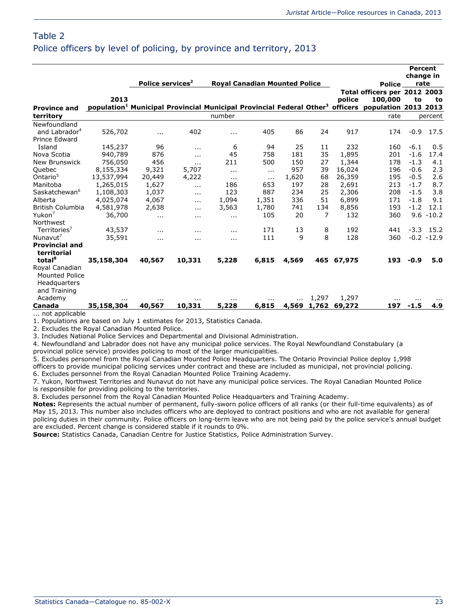#### Table 2 Police officers by level of policing, by province and territory, 2013

|                                  |            |          |                              |          |                                      |          |       |        |                                                                                                                            | change in | <b>Percent</b> |
|----------------------------------|------------|----------|------------------------------|----------|--------------------------------------|----------|-------|--------|----------------------------------------------------------------------------------------------------------------------------|-----------|----------------|
|                                  |            |          | Police services <sup>2</sup> |          | <b>Roval Canadian Mounted Police</b> |          |       |        | <b>Police</b>                                                                                                              | rate      |                |
|                                  | 2013       |          |                              |          |                                      |          |       | police | Total officers per 2012 2003<br>100,000                                                                                    |           |                |
|                                  |            |          |                              |          |                                      |          |       |        | population <sup>1</sup> Municipal Provincial Municipal Provincial Federal Other <sup>3</sup> officers population 2013 2013 | to        | to             |
| <b>Province and</b><br>territory |            |          |                              | number   |                                      |          |       |        | rate                                                                                                                       |           | percent        |
| Newfoundland                     |            |          |                              |          |                                      |          |       |        |                                                                                                                            |           |                |
| and Labrador <sup>4</sup>        | 526,702    | $\cdots$ | 402                          | $\cdots$ | 405                                  | 86       | 24    | 917    | 174                                                                                                                        | $-0.9$    | 17.5           |
| Prince Edward                    |            |          |                              |          |                                      |          |       |        |                                                                                                                            |           |                |
| Island                           | 145,237    | 96       | .                            | 6        | 94                                   | 25       | 11    | 232    | 160                                                                                                                        | $-6.1$    | 0.5            |
| Nova Scotia                      | 940,789    | 876      | .                            | 45       | 758                                  | 181      | 35    | 1,895  | 201                                                                                                                        | $-1.6$    | 17.4           |
| <b>New Brunswick</b>             | 756,050    | 456      | .                            | 211      | 500                                  | 150      | 27    | 1,344  | 178                                                                                                                        | $-1.3$    | 4.1            |
| Quebec                           | 8,155,334  | 9,321    | 5,707                        | $\cdots$ | $\cdots$                             | 957      | 39    | 16,024 | 196                                                                                                                        | $-0.6$    | 2.3            |
| Ontario <sup>5</sup>             | 13,537,994 | 20,449   | 4,222                        | $\cdots$ | $\cdots$                             | 1,620    | 68    | 26,359 | 195                                                                                                                        | $-0.5$    | 2.6            |
| Manitoba                         | 1,265,015  | 1,627    | $\cdots$                     | 186      | 653                                  | 197      | 28    | 2,691  | 213                                                                                                                        | $-1.7$    | 8.7            |
| Saskatchewan <sup>6</sup>        | 1,108,303  | 1,037    | $\sim$                       | 123      | 887                                  | 234      | 25    | 2,306  | 208                                                                                                                        | $-1.5$    | 3.8            |
| Alberta                          | 4,025,074  | 4,067    | .                            | 1,094    | 1,351                                | 336      | 51    | 6,899  | 171                                                                                                                        | $-1.8$    | 9.1            |
| British Columbia                 | 4,581,978  | 2,638    | .                            | 3,563    | 1,780                                | 741      | 134   | 8,856  | 193                                                                                                                        | $-1.2$    | 12.1           |
| Yukon <sup>7</sup>               | 36,700     | $\cdots$ | $\cdots$                     | $\cdots$ | 105                                  | 20       | 7     | 132    | 360                                                                                                                        |           | $9.6 - 10.2$   |
| Northwest                        |            |          |                              |          |                                      |          |       |        |                                                                                                                            |           |                |
| Territories <sup>7</sup>         | 43,537     | .        | $\cdots$                     | $\cdots$ | 171                                  | 13       | 8     | 192    | 441                                                                                                                        | $-3.3$    | 15.2           |
| Nunavut <sup>7</sup>             | 35,591     | $\cdots$ | $\cdots$                     | $\cdots$ | 111                                  | 9        | 8     | 128    | 360                                                                                                                        |           | $-0.2 - 12.9$  |
| <b>Provincial and</b>            |            |          |                              |          |                                      |          |       |        |                                                                                                                            |           |                |
| territorial                      |            |          |                              |          |                                      |          |       |        |                                                                                                                            |           |                |
| total <sup>8</sup>               | 35,158,304 | 40,567   | 10,331                       | 5,228    | 6,815                                | 4,569    | 465   | 67,975 | 193                                                                                                                        | $-0.9$    | 5.0            |
| Royal Canadian                   |            |          |                              |          |                                      |          |       |        |                                                                                                                            |           |                |
| <b>Mounted Police</b>            |            |          |                              |          |                                      |          |       |        |                                                                                                                            |           |                |
| Headquarters                     |            |          |                              |          |                                      |          |       |        |                                                                                                                            |           |                |
| and Training                     |            |          |                              |          |                                      |          |       |        |                                                                                                                            |           |                |
| Academy                          | $\cdots$   | $\cdots$ |                              | $\cdots$ |                                      | $\cdots$ | 1,297 | 1,297  | $\cdots$                                                                                                                   | $\cdots$  |                |
| Canada<br>not annlicable         | 35,158,304 | 40,567   | 10,331                       | 5,228    | 6,815                                | 4,569    | 1,762 | 69,272 | 197                                                                                                                        | $-1.5$    | 4.9            |

... not applicable

1. Populations are based on July 1 estimates for 2013, Statistics Canada.

2. Excludes the Royal Canadian Mounted Police.

3. Includes National Police Services and Departmental and Divisional Administration.

4. Newfoundland and Labrador does not have any municipal police services. The Royal Newfoundland Constabulary (a

provincial police service) provides policing to most of the larger municipalities.

5. Excludes personnel from the Royal Canadian Mounted Police Headquarters. The Ontario Provincial Police deploy 1,998 officers to provide municipal policing services under contract and these are included as municipal, not provincial policing. 6. Excludes personnel from the Royal Canadian Mounted Police Training Academy.

7. Yukon, Northwest Territories and Nunavut do not have any municipal police services. The Royal Canadian Mounted Police

is responsible for providing policing to the territories.

8. Excludes personnel from the Royal Canadian Mounted Police Headquarters and Training Academy.

**Notes:** Represents the actual number of permanent, fully-sworn police officers of all ranks (or their full-time equivalents) as of May 15, 2013. This number also includes officers who are deployed to contract positions and who are not available for general policing duties in their community. Police officers on long-term leave who are not being paid by the police service's annual budget are excluded. Percent change is considered stable if it rounds to 0%.

**Source:** Statistics Canada, Canadian Centre for Justice Statistics, Police Administration Survey.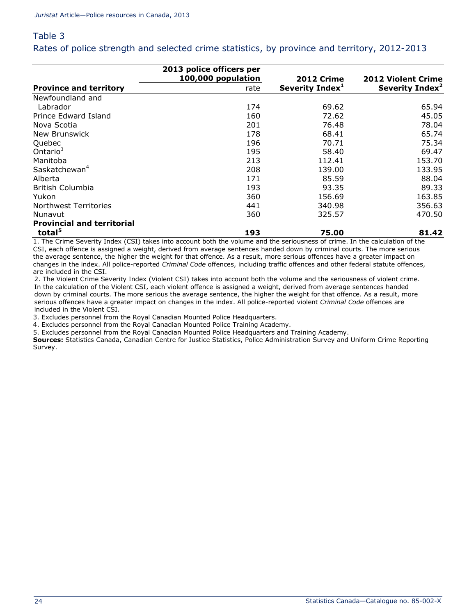Rates of police strength and selected crime statistics, by province and territory, 2012-2013

|                                   | 2013 police officers per<br>100,000 population | <b>2012 Crime</b>           | <b>2012 Violent Crime</b>   |
|-----------------------------------|------------------------------------------------|-----------------------------|-----------------------------|
| <b>Province and territory</b>     | rate                                           | Severity Index <sup>1</sup> | Severity Index <sup>2</sup> |
| Newfoundland and                  |                                                |                             |                             |
| Labrador                          | 174                                            | 69.62                       | 65.94                       |
| Prince Edward Island              | 160                                            | 72.62                       | 45.05                       |
| Nova Scotia                       | 201                                            | 76.48                       | 78.04                       |
| New Brunswick                     | 178                                            | 68.41                       | 65.74                       |
| Quebec                            | 196                                            | 70.71                       | 75.34                       |
| Ontario $3$                       | 195                                            | 58.40                       | 69.47                       |
| Manitoba                          | 213                                            | 112.41                      | 153.70                      |
| Saskatchewan <sup>4</sup>         | 208                                            | 139.00                      | 133.95                      |
| Alberta                           | 171                                            | 85.59                       | 88.04                       |
| British Columbia                  | 193                                            | 93.35                       | 89.33                       |
| Yukon                             | 360                                            | 156.69                      | 163.85                      |
| Northwest Territories             | 441                                            | 340.98                      | 356.63                      |
| Nunavut                           | 360                                            | 325.57                      | 470.50                      |
| <b>Provincial and territorial</b> |                                                |                             |                             |
| total <sup>5</sup>                | 193                                            | 75.00                       | 81.42                       |

1. The Crime Severity Index (CSI) takes into account both the volume and the seriousness of crime. In the calculation of the CSI, each offence is assigned a weight, derived from average sentences handed down by criminal courts. The more serious the average sentence, the higher the weight for that offence. As a result, more serious offences have a greater impact on changes in the index. All police-reported *Criminal Code* offences, including traffic offences and other federal statute offences, are included in the CSI.

2. The Violent Crime Severity Index (Violent CSI) takes into account both the volume and the seriousness of violent crime. In the calculation of the Violent CSI, each violent offence is assigned a weight, derived from average sentences handed down by criminal courts. The more serious the average sentence, the higher the weight for that offence. As a result, more serious offences have a greater impact on changes in the index. All police-reported violent *Criminal Code* offences are included in the Violent CSI.

3. Excludes personnel from the Royal Canadian Mounted Police Headquarters.

4. Excludes personnel from the Royal Canadian Mounted Police Training Academy.

5. Excludes personnel from the Royal Canadian Mounted Police Headquarters and Training Academy.

**Sources:** Statistics Canada, Canadian Centre for Justice Statistics, Police Administration Survey and Uniform Crime Reporting Survey.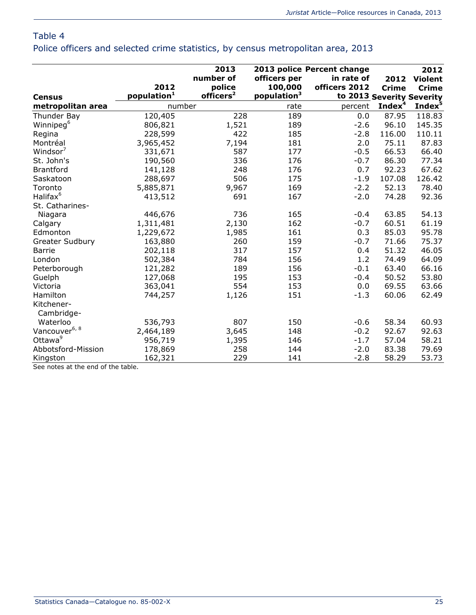Police officers and selected crime statistics, by census metropolitan area, 2013

|                           |                         | 2013                  |                         | 2013 police Percent change |                    | 2012               |
|---------------------------|-------------------------|-----------------------|-------------------------|----------------------------|--------------------|--------------------|
|                           |                         | number of             | officers per            | in rate of                 | 2012               | <b>Violent</b>     |
|                           | 2012                    | police                | 100,000                 | officers 2012              | <b>Crime</b>       | <b>Crime</b>       |
| <b>Census</b>             | population <sup>1</sup> | officers <sup>2</sup> | population <sup>3</sup> | to 2013 Severity Severity  |                    |                    |
| metropolitan area         | number                  |                       | rate                    | percent                    | Index <sup>4</sup> | Index <sup>5</sup> |
| Thunder Bay               | 120,405                 | 228                   | 189                     | 0.0                        | 87.95              | 118.83             |
| Winnipeg <sup>6</sup>     | 806,821                 | 1,521                 | 189                     | $-2.6$                     | 96.10              | 145.35             |
| Regina                    | 228,599                 | 422                   | 185                     | $-2.8$                     | 116.00             | 110.11             |
| Montréal                  | 3,965,452               | 7,194                 | 181                     | 2.0                        | 75.11              | 87.83              |
| Windsor <sup>'</sup>      | 331,671                 | 587                   | 177                     | $-0.5$                     | 66.53              | 66.40              |
| St. John's                | 190,560                 | 336                   | 176                     | $-0.7$                     | 86.30              | 77.34              |
| <b>Brantford</b>          | 141,128                 | 248                   | 176                     | 0.7                        | 92.23              | 67.62              |
| Saskatoon                 | 288,697                 | 506                   | 175                     | $-1.9$                     | 107.08             | 126.42             |
| Toronto                   | 5,885,871               | 9,967                 | 169                     | $-2.2$                     | 52.13              | 78.40              |
| Halifax <sup>6</sup>      | 413,512                 | 691                   | 167                     | $-2.0$                     | 74.28              | 92.36              |
| St. Catharines-           |                         |                       |                         |                            |                    |                    |
| Niagara                   | 446,676                 | 736                   | 165                     | $-0.4$                     | 63.85              | 54.13              |
| Calgary                   | 1,311,481               | 2,130                 | 162                     | $-0.7$                     | 60.51              | 61.19              |
| Edmonton                  | 1,229,672               | 1,985                 | 161                     | 0.3                        | 85.03              | 95.78              |
| <b>Greater Sudbury</b>    | 163,880                 | 260                   | 159                     | $-0.7$                     | 71.66              | 75.37              |
| <b>Barrie</b>             | 202,118                 | 317                   | 157                     | 0.4                        | 51.32              | 46.05              |
| London                    | 502,384                 | 784                   | 156                     | 1.2                        | 74.49              | 64.09              |
| Peterborough              | 121,282                 | 189                   | 156                     | $-0.1$                     | 63.40              | 66.16              |
| Guelph                    | 127,068                 | 195                   | 153                     | $-0.4$                     | 50.52              | 53.80              |
| Victoria                  | 363,041                 | 554                   | 153                     | 0.0                        | 69.55              | 63.66              |
| Hamilton                  | 744,257                 | 1,126                 | 151                     | $-1.3$                     | 60.06              | 62.49              |
| Kitchener-<br>Cambridge-  |                         |                       |                         |                            |                    |                    |
| Waterloo                  | 536,793                 | 807                   | 150                     | $-0.6$                     | 58.34              | 60.93              |
| Vancouver <sup>6, 8</sup> | 2,464,189               | 3,645                 | 148                     | $-0.2$                     | 92.67              | 92.63              |
| Ottawa <sup>9</sup>       | 956,719                 | 1,395                 | 146                     | $-1.7$                     | 57.04              | 58.21              |
| Abbotsford-Mission        | 178,869                 | 258                   | 144                     | $-2.0$                     | 83.38              | 79.69              |
| Kingston                  | 162,321                 | 229                   | 141                     | $-2.8$                     | 58.29              | 53.73              |

See notes at the end of the table.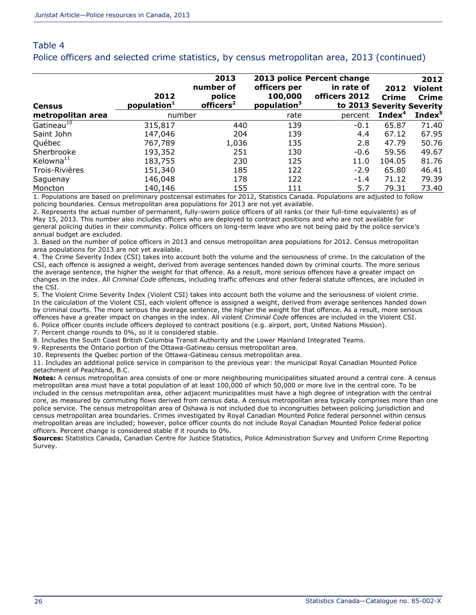#### Table 4 Police officers and selected crime statistics, by census metropolitan area, 2013 (continued)

|                        |                                 | 2013                            |                                    | 2013 police Percent change                 |                    | 2012               |
|------------------------|---------------------------------|---------------------------------|------------------------------------|--------------------------------------------|--------------------|--------------------|
|                        |                                 | number of                       | officers per                       | in rate of                                 | 2012               | <b>Violent</b>     |
| <b>Census</b>          | 2012<br>population <sup>1</sup> | police<br>officers <sup>2</sup> | 100,000<br>population <sup>3</sup> | officers 2012<br>to 2013 Severity Severity | <b>Crime</b>       | <b>Crime</b>       |
| metropolitan area      | number                          |                                 | rate                               | percent                                    | Index <sup>4</sup> | Index <sup>5</sup> |
| Gatineau <sup>10</sup> | 315,817                         | 440                             | 139                                | $-0.1$                                     | 65.87              | 71.40              |
| Saint John             | 147,046                         | 204                             | 139                                | 4.4                                        | 67.12              | 67.95              |
| Québec                 | 767,789                         | 1,036                           | 135                                | 2.8                                        | 47.79              | 50.76              |
| Sherbrooke             | 193,352                         | 251                             | 130                                | $-0.6$                                     | 59.56              | 49.67              |
| Kelowna <sup>11</sup>  | 183,755                         | 230                             | 125                                | 11.0                                       | 104.05             | 81.76              |
| Trois-Rivières         | 151,340                         | 185                             | 122                                | $-2.9$                                     | 65.80              | 46.41              |
| Saguenay               | 146,048                         | 178                             | 122                                | $-1.4$                                     | 71.12              | 79.39              |
| Moncton                | 140,146                         | 155                             | 111                                | 5.7                                        | 79.31              | 73.40              |

1. Populations are based on preliminary postcensal estimates for 2012, Statistics Canada. Populations are adjusted to follow policing boundaries. Census metropolitan area populations for 2013 are not yet available.

2. Represents the actual number of permanent, fully-sworn police officers of all ranks (or their full-time equivalents) as of May 15, 2013. This number also includes officers who are deployed to contract positions and who are not available for general policing duties in their community. Police officers on long-term leave who are not being paid by the police service's annual budget are excluded.

3. Based on the number of police officers in 2013 and census metropolitan area populations for 2012. Census metropolitan area populations for 2013 are not yet available.

4. The Crime Severity Index (CSI) takes into account both the volume and the seriousness of crime. In the calculation of the CSI, each offence is assigned a weight, derived from average sentences handed down by criminal courts. The more serious the average sentence, the higher the weight for that offence. As a result, more serious offences have a greater impact on changes in the index. All *Criminal Code* offences, including traffic offences and other federal statute offences, are included in the CSI.

5. The Violent Crime Severity Index (Violent CSI) takes into account both the volume and the seriousness of violent crime. In the calculation of the Violent CSI, each violent offence is assigned a weight, derived from average sentences handed down by criminal courts. The more serious the average sentence, the higher the weight for that offence. As a result, more serious offences have a greater impact on changes in the index. All violent *Criminal Code* offences are included in the Violent CSI.

6. Police officer counts include officers deployed to contract positions (e.g. airport, port, United Nations Mission).

7. Percent change rounds to 0%, so it is considered stable.

8. Includes the South Coast British Columbia Transit Authority and the Lower Mainland Integrated Teams.

9. Represents the Ontario portion of the Ottawa-Gatineau census metropolitan area.

10. Represents the Quebec portion of the Ottawa-Gatineau census metropolitan area.

11. Includes an additional police service in comparison to the previous year: the municipal Royal Canadian Mounted Police detachment of Peachland, B.C.

**Notes:** A census metropolitan area consists of one or more neighbouring municipalities situated around a central core. A census metropolitan area must have a total population of at least 100,000 of which 50,000 or more live in the central core. To be included in the census metropolitan area, other adjacent municipalities must have a high degree of integration with the central core, as measured by commuting flows derived from census data. A census metropolitan area typically comprises more than one police service. The census metropolitan area of Oshawa is not included due to incongruities between policing jurisdiction and census metropolitan area boundaries. Crimes investigated by Royal Canadian Mounted Police federal personnel within census metropolitan areas are included; however, police officer counts do not include Royal Canadian Mounted Police federal police officers. Percent change is considered stable if it rounds to 0%.

**Sources:** Statistics Canada, Canadian Centre for Justice Statistics, Police Administration Survey and Uniform Crime Reporting Survey.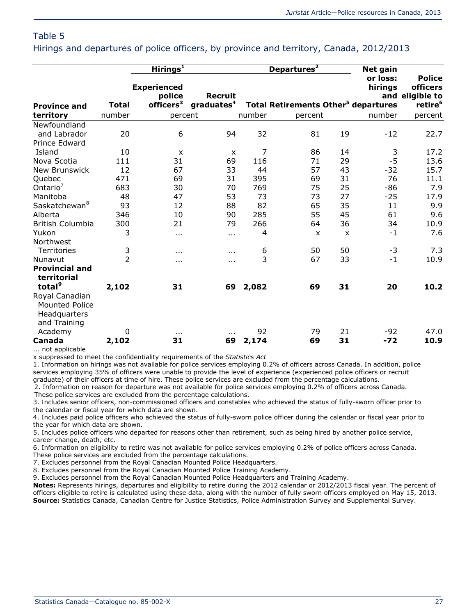Hirings and departures of police officers, by province and territory, Canada, 2012/2013

|                                                                         |               | Hirings <sup>1</sup>                                  |                                          |        | Departures <sup>2</sup>                               |                           | <b>Net gain</b>     |                                                                     |
|-------------------------------------------------------------------------|---------------|-------------------------------------------------------|------------------------------------------|--------|-------------------------------------------------------|---------------------------|---------------------|---------------------------------------------------------------------|
| <b>Province and</b>                                                     | Total         | <b>Experienced</b><br>police<br>officers <sup>3</sup> | <b>Recruit</b><br>graduates <sup>4</sup> |        | <b>Total Retirements Other<sup>5</sup> departures</b> |                           | or loss:<br>hirings | <b>Police</b><br>officers<br>and eligible to<br>retire <sup>6</sup> |
| territory                                                               | number        | percent                                               |                                          | number | percent                                               |                           | number              | percent                                                             |
| Newfoundland<br>and Labrador<br>Prince Edward                           | 20            | 6                                                     | 94                                       | 32     | 81                                                    | 19                        | $-12$               | 22.7                                                                |
| Island                                                                  | 10            | $\boldsymbol{\mathsf{x}}$                             | X                                        | 7      | 86                                                    | 14                        | 3                   | 17.2                                                                |
| Nova Scotia                                                             | 111           | 31                                                    | 69                                       | 116    | 71                                                    | 29                        | $-5$                | 13.6                                                                |
| <b>New Brunswick</b>                                                    | 12            | 67                                                    | 33                                       | 44     | 57                                                    | 43                        | $-32$               | 15.7                                                                |
| Quebec                                                                  | 471           | 69                                                    | 31                                       | 395    | 69                                                    | 31                        | 76                  | 11.1                                                                |
| Ontario <sup>7</sup>                                                    | 683           | 30                                                    | 70                                       | 769    | 75                                                    | 25                        | $-86$               | 7.9                                                                 |
| Manitoba                                                                | 48            | 47                                                    | 53                                       | 73     | 73                                                    | 27                        | $-25$               | 17.9                                                                |
| Saskatchewan <sup>8</sup>                                               | 93            | 12                                                    | 88                                       | 82     | 65                                                    | 35                        | 11                  | 9.9                                                                 |
| Alberta                                                                 | 346           | 10                                                    | 90                                       | 285    | 55                                                    | 45                        | 61                  | 9.6                                                                 |
| British Columbia                                                        | 300           | 21                                                    | 79                                       | 266    | 64                                                    | 36                        | 34                  | 10.9                                                                |
| Yukon                                                                   | 3             | $\cdots$                                              | $\cdots$                                 | 4      | $\boldsymbol{\mathsf{x}}$                             | $\boldsymbol{\mathsf{x}}$ | $-1$                | 7.6                                                                 |
| Northwest                                                               |               |                                                       |                                          |        |                                                       |                           |                     |                                                                     |
| <b>Territories</b>                                                      | $\frac{3}{2}$ | $\cdots$                                              | $\cdots$                                 | 6      | 50                                                    | 50                        | $-3$                | 7.3                                                                 |
| Nunavut                                                                 |               | .                                                     | $\cdots$                                 | 3      | 67                                                    | 33                        | $-1$                | 10.9                                                                |
| <b>Provincial and</b><br>territorial                                    |               |                                                       |                                          |        |                                                       |                           |                     |                                                                     |
| total <sup>9</sup>                                                      | 2,102         | 31                                                    | 69                                       | 2,082  | 69                                                    | 31                        | 20                  | 10.2                                                                |
| Royal Canadian<br><b>Mounted Police</b><br>Headquarters<br>and Training |               |                                                       |                                          |        |                                                       |                           |                     |                                                                     |
| Academy                                                                 | $\Omega$      | $\cdots$                                              | $\cdots$                                 | 92     | 79                                                    | 21                        | -92                 | 47.0                                                                |
| Canada                                                                  | 2,102         | 31                                                    | 69                                       | 2,174  | 69                                                    | 31                        | $-72$               | 10.9                                                                |

... not applicable

x suppressed to meet the confidentiality requirements of the *Statistics Act*

1. Information on hirings was not available for police services employing 0.2% of officers across Canada. In addition, police services employing 35% of officers were unable to provide the level of experience (experienced police officers or recruit graduate) of their officers at time of hire. These police services are excluded from the percentage calculations.

2. Information on reason for departure was not available for police services employing 0.2% of officers across Canada. These police services are excluded from the percentage calculations.

3. Includes senior officers, non-commissioned officers and constables who achieved the status of fully-sworn officer prior to the calendar or fiscal year for which data are shown.

4. Includes paid police officers who achieved the status of fully-sworn police officer during the calendar or fiscal year prior to the year for which data are shown.

5. Includes police officers who departed for reasons other than retirement, such as being hired by another police service, career change, death, etc.

6. Information on eligibility to retire was not available for police services employing 0.2% of police officers across Canada. These police services are excluded from the percentage calculations.

7. Excludes personnel from the Royal Canadian Mounted Police Headquarters.

8. Excludes personnel from the Royal Canadian Mounted Police Training Academy.

9. Excludes personnel from the Royal Canadian Mounted Police Headquarters and Training Academy.

**Notes:** Represents hirings, departures and eligibility to retire during the 2012 calendar or 2012/2013 fiscal year. The percent of officers eligible to retire is calculated using these data, along with the number of fully sworn officers employed on May 15, 2013. **Source:** Statistics Canada, Canadian Centre for Justice Statistics, Police Administration Survey and Supplemental Survey.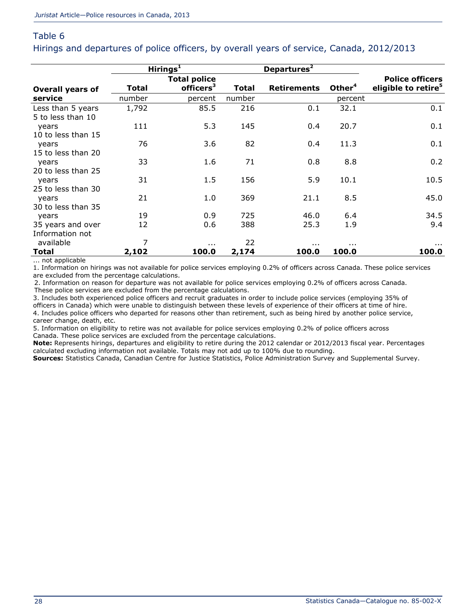Hirings and departures of police officers, by overall years of service, Canada, 2012/2013

|                                        |        | Hirings $1$           |              | Departures <sup>2</sup> |                    |                                 |
|----------------------------------------|--------|-----------------------|--------------|-------------------------|--------------------|---------------------------------|
|                                        |        | <b>Total police</b>   |              |                         |                    | <b>Police officers</b>          |
| <b>Overall years of</b>                | Total  | officers <sup>3</sup> | <b>Total</b> | <b>Retirements</b>      | Other <sup>4</sup> | eligible to retire <sup>5</sup> |
| service                                | number | percent               | number       |                         | percent            |                                 |
| Less than 5 years<br>5 to less than 10 | 1,792  | 85.5                  | 216          | 0.1                     | 32.1               | 0.1                             |
| years                                  | 111    | 5.3                   | 145          | 0.4                     | 20.7               | 0.1                             |
| 10 to less than 15<br>years            | 76     | 3.6                   | 82           | 0.4                     | 11.3               | 0.1                             |
| 15 to less than 20                     |        |                       |              |                         |                    |                                 |
| years                                  | 33     | 1.6                   | 71           | 0.8                     | 8.8                | 0.2                             |
| 20 to less than 25                     |        |                       |              |                         |                    |                                 |
| years                                  | 31     | 1.5                   | 156          | 5.9                     | 10.1               | 10.5                            |
| 25 to less than 30<br>years            | 21     | 1.0                   | 369          | 21.1                    | 8.5                | 45.0                            |
| 30 to less than 35                     |        |                       |              |                         |                    |                                 |
| years                                  | 19     | 0.9                   | 725          | 46.0                    | 6.4                | 34.5                            |
| 35 years and over                      | 12     | 0.6                   | 388          | 25.3                    | 1.9                | 9.4                             |
| Information not                        |        |                       |              |                         |                    |                                 |
| available                              | 7      | $\sim$ $\sim$         | 22           | $\cdots$                | $\cdots$           | $\cdots$                        |
| Total                                  | 2,102  | 100.0                 | 2,174        | 100.0                   | 100.0              | 100.0                           |

... not applicable

1. Information on hirings was not available for police services employing 0.2% of officers across Canada. These police services are excluded from the percentage calculations.

2. Information on reason for departure was not available for police services employing 0.2% of officers across Canada. These police services are excluded from the percentage calculations.

3. Includes both experienced police officers and recruit graduates in order to include police services (employing 35% of officers in Canada) which were unable to distinguish between these levels of experience of their officers at time of hire. 4. Includes police officers who departed for reasons other than retirement, such as being hired by another police service, career change, death, etc.

5. Information on eligibility to retire was not available for police services employing 0.2% of police officers across Canada. These police services are excluded from the percentage calculations.

**Note:** Represents hirings, departures and eligibility to retire during the 2012 calendar or 2012/2013 fiscal year. Percentages calculated excluding information not available. Totals may not add up to 100% due to rounding.

**Sources:** Statistics Canada, Canadian Centre for Justice Statistics, Police Administration Survey and Supplemental Survey.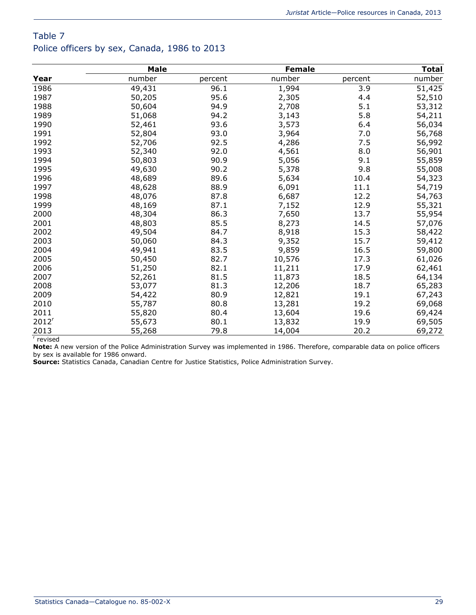# Table 7 Police officers by sex, Canada, 1986 to 2013

|                   | <b>Male</b> |         | <b>Female</b> |         | <b>Total</b> |
|-------------------|-------------|---------|---------------|---------|--------------|
| Year              | number      | percent | number        | percent | number       |
| 1986              | 49,431      | 96.1    | 1,994         | 3.9     | 51,425       |
| 1987              | 50,205      | 95.6    | 2,305         | 4.4     | 52,510       |
| 1988              | 50,604      | 94.9    | 2,708         | 5.1     | 53,312       |
| 1989              | 51,068      | 94.2    | 3,143         | 5.8     | 54,211       |
| 1990              | 52,461      | 93.6    | 3,573         | 6.4     | 56,034       |
| 1991              | 52,804      | 93.0    | 3,964         | 7.0     | 56,768       |
| 1992              | 52,706      | 92.5    | 4,286         | 7.5     | 56,992       |
| 1993              | 52,340      | 92.0    | 4,561         | 8.0     | 56,901       |
| 1994              | 50,803      | 90.9    | 5,056         | 9.1     | 55,859       |
| 1995              | 49,630      | 90.2    | 5,378         | 9.8     | 55,008       |
| 1996              | 48,689      | 89.6    | 5,634         | 10.4    | 54,323       |
| 1997              | 48,628      | 88.9    | 6,091         | 11.1    | 54,719       |
| 1998              | 48,076      | 87.8    | 6,687         | 12.2    | 54,763       |
| 1999              | 48,169      | 87.1    | 7,152         | 12.9    | 55,321       |
| 2000              | 48,304      | 86.3    | 7,650         | 13.7    | 55,954       |
| 2001              | 48,803      | 85.5    | 8,273         | 14.5    | 57,076       |
| 2002              | 49,504      | 84.7    | 8,918         | 15.3    | 58,422       |
| 2003              | 50,060      | 84.3    | 9,352         | 15.7    | 59,412       |
| 2004              | 49,941      | 83.5    | 9,859         | 16.5    | 59,800       |
| 2005              | 50,450      | 82.7    | 10,576        | 17.3    | 61,026       |
| 2006              | 51,250      | 82.1    | 11,211        | 17.9    | 62,461       |
| 2007              | 52,261      | 81.5    | 11,873        | 18.5    | 64,134       |
| 2008              | 53,077      | 81.3    | 12,206        | 18.7    | 65,283       |
| 2009              | 54,422      | 80.9    | 12,821        | 19.1    | 67,243       |
| 2010              | 55,787      | 80.8    | 13,281        | 19.2    | 69,068       |
| 2011              | 55,820      | 80.4    | 13,604        | 19.6    | 69,424       |
| 2012 <sup>r</sup> | 55,673      | 80.1    | 13,832        | 19.9    | 69,505       |
| 2013              | 55,268      | 79.8    | 14,004        | 20.2    | 69,272       |

r revised

**Note:** A new version of the Police Administration Survey was implemented in 1986. Therefore, comparable data on police officers by sex is available for 1986 onward.

**Source:** Statistics Canada, Canadian Centre for Justice Statistics, Police Administration Survey.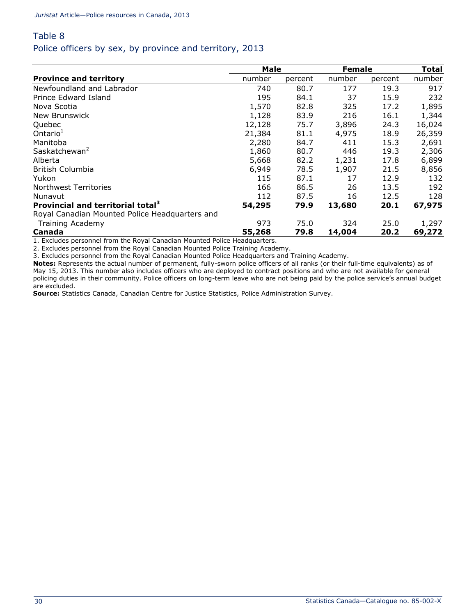### Table 8 Police officers by sex, by province and territory, 2013

|                                                | Male   |         |        | <b>Female</b> |        |
|------------------------------------------------|--------|---------|--------|---------------|--------|
| <b>Province and territory</b>                  | number | percent | number | percent       | number |
| Newfoundland and Labrador                      | 740    | 80.7    | 177    | 19.3          | 917    |
| Prince Edward Island                           | 195    | 84.1    | 37     | 15.9          | 232    |
| Nova Scotia                                    | 1,570  | 82.8    | 325    | 17.2          | 1,895  |
| New Brunswick                                  | 1,128  | 83.9    | 216    | 16.1          | 1,344  |
| Quebec                                         | 12,128 | 75.7    | 3,896  | 24.3          | 16,024 |
| Ontario <sup>1</sup>                           | 21,384 | 81.1    | 4,975  | 18.9          | 26,359 |
| Manitoba                                       | 2,280  | 84.7    | 411    | 15.3          | 2,691  |
| Saskatchewan <sup>2</sup>                      | 1,860  | 80.7    | 446    | 19.3          | 2,306  |
| Alberta                                        | 5,668  | 82.2    | 1,231  | 17.8          | 6,899  |
| <b>British Columbia</b>                        | 6,949  | 78.5    | 1,907  | 21.5          | 8,856  |
| Yukon                                          | 115    | 87.1    | 17     | 12.9          | 132    |
| Northwest Territories                          | 166    | 86.5    | 26     | 13.5          | 192    |
| Nunavut                                        | 112    | 87.5    | 16     | 12.5          | 128    |
| Provincial and territorial total <sup>3</sup>  | 54,295 | 79.9    | 13,680 | 20.1          | 67,975 |
| Royal Canadian Mounted Police Headquarters and |        |         |        |               |        |
| <b>Training Academy</b>                        | 973    | 75.0    | 324    | 25.0          | 1,297  |
| Canada                                         | 55,268 | 79.8    | 14,004 | 20.2          | 69,272 |

1. Excludes personnel from the Royal Canadian Mounted Police Headquarters.

2. Excludes personnel from the Royal Canadian Mounted Police Training Academy.

3. Excludes personnel from the Royal Canadian Mounted Police Headquarters and Training Academy.

**Notes:** Represents the actual number of permanent, fully-sworn police officers of all ranks (or their full-time equivalents) as of May 15, 2013. This number also includes officers who are deployed to contract positions and who are not available for general policing duties in their community. Police officers on long-term leave who are not being paid by the police service's annual budget are excluded.

**Source:** Statistics Canada, Canadian Centre for Justice Statistics, Police Administration Survey.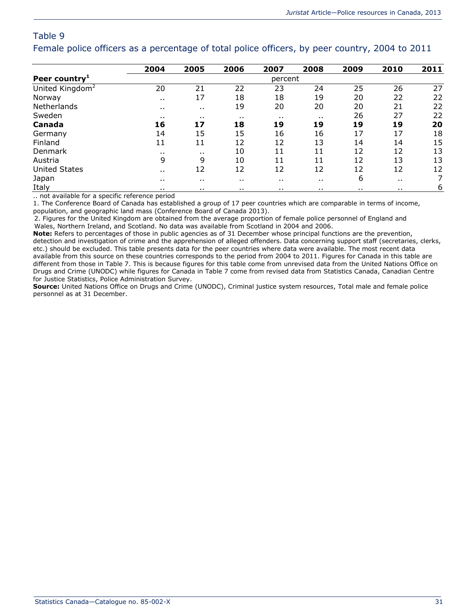Female police officers as a percentage of total police officers, by peer country, 2004 to 2011

|                              | 2004                                          | 2005     | 2006     | 2007                 | 2008     | 2009     | 2010                 | 2011 |
|------------------------------|-----------------------------------------------|----------|----------|----------------------|----------|----------|----------------------|------|
| Peer country <sup>1</sup>    |                                               |          |          | percent              |          |          |                      |      |
| United Kingdom <sup>2</sup>  | 20                                            | 21       | 22       | 23                   | 24       | 25       | 26                   | 27   |
| Norway                       | $\cdots$                                      | 17       | 18       | 18                   | 19       | 20       | 22                   | 22   |
| Netherlands                  | $\cdots$                                      | $\cdots$ | 19       | 20                   | 20       | 20       | 21                   | 22   |
| Sweden                       | . .                                           | . .      | $\cdots$ | $\sim$ $\sim$        | . .      | 26       | 27                   | 22   |
| Canada                       | 16                                            | 17       | 18       | 19                   | 19       | 19       | 19                   | 20   |
| Germany                      | 14                                            | 15       | 15       | 16                   | 16       | 17       | 17                   | 18   |
| Finland                      | 11                                            | 11       | 12       | 12                   | 13       | 14       | 14                   | 15   |
| Denmark                      | . .                                           | . .      | 10       | $11\,$               | 11       | 12       | 12                   | 13   |
| Austria                      | 9                                             | 9        | 10       | 11                   | 11       | 12       | 13                   | 13   |
| <b>United States</b>         | . .                                           | 12       | 12       | 12                   | 12       | 12       | 12                   | 12   |
| Japan                        | $\cdots$                                      | . .      | $\cdots$ | $\ddot{\phantom{a}}$ | $\cdots$ | 6        | $\ddot{\phantom{1}}$ | 7    |
| Italy<br>$\cdot$<br>$\cdots$ | $\cdots$<br>$\overline{ }$<br>$\cdot$ $\cdot$ | . .      | $\cdots$ | . .                  | $\cdots$ | $\cdots$ | . .                  | 6    |

.. not available for a specific reference period

1. The Conference Board of Canada has established a group of 17 peer countries which are comparable in terms of income,

population, and geographic land mass (Conference Board of Canada 2013).

2. Figures for the United Kingdom are obtained from the average proportion of female police personnel of England and Wales, Northern Ireland, and Scotland. No data was available from Scotland in 2004 and 2006.

**Note:** Refers to percentages of those in public agencies as of 31 December whose principal functions are the prevention, detection and investigation of crime and the apprehension of alleged offenders. Data concerning support staff (secretaries, clerks, etc.) should be excluded. This table presents data for the peer countries where data were available. The most recent data available from this source on these countries corresponds to the period from 2004 to 2011. Figures for Canada in this table are different from those in Table 7. This is because figures for this table come from unrevised data from the United Nations Office on Drugs and Crime (UNODC) while figures for Canada in Table 7 come from revised data from Statistics Canada, Canadian Centre for Justice Statistics, Police Administration Survey.

**Source:** United Nations Office on Drugs and Crime (UNODC), Criminal justice system resources, Total male and female police personnel as at 31 December.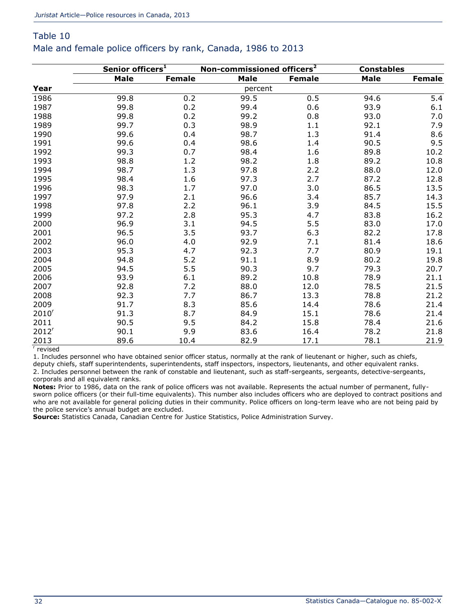## Table 10 Male and female police officers by rank, Canada, 1986 to 2013

|                   | Senior officers <sup>1</sup> |               | Non-commissioned officers <sup>2</sup> |               | <b>Constables</b> |               |
|-------------------|------------------------------|---------------|----------------------------------------|---------------|-------------------|---------------|
|                   | <b>Male</b>                  | <b>Female</b> | <b>Male</b>                            | <b>Female</b> | <b>Male</b>       | <b>Female</b> |
| Year              |                              |               | percent                                |               |                   |               |
| 1986              | 99.8                         | 0.2           | 99.5                                   | 0.5           | 94.6              | 5.4           |
| 1987              | 99.8                         | 0.2           | 99.4                                   | 0.6           | 93.9              | 6.1           |
| 1988              | 99.8                         | 0.2           | 99.2                                   | 0.8           | 93.0              | 7.0           |
| 1989              | 99.7                         | 0.3           | 98.9                                   | 1.1           | 92.1              | 7.9           |
| 1990              | 99.6                         | 0.4           | 98.7                                   | 1.3           | 91.4              | 8.6           |
| 1991              | 99.6                         | 0.4           | 98.6                                   | 1.4           | 90.5              | 9.5           |
| 1992              | 99.3                         | 0.7           | 98.4                                   | 1.6           | 89.8              | 10.2          |
| 1993              | 98.8                         | 1.2           | 98.2                                   | 1.8           | 89.2              | 10.8          |
| 1994              | 98.7                         | 1.3           | 97.8                                   | 2.2           | 88.0              | 12.0          |
| 1995              | 98.4                         | 1.6           | 97.3                                   | 2.7           | 87.2              | 12.8          |
| 1996              | 98.3                         | 1.7           | 97.0                                   | 3.0           | 86.5              | 13.5          |
| 1997              | 97.9                         | 2.1           | 96.6                                   | 3.4           | 85.7              | 14.3          |
| 1998              | 97.8                         | 2.2           | 96.1                                   | 3.9           | 84.5              | 15.5          |
| 1999              | 97.2                         | 2.8           | 95.3                                   | 4.7           | 83.8              | 16.2          |
| 2000              | 96.9                         | 3.1           | 94.5                                   | 5.5           | 83.0              | 17.0          |
| 2001              | 96.5                         | 3.5           | 93.7                                   | 6.3           | 82.2              | 17.8          |
| 2002              | 96.0                         | 4.0           | 92.9                                   | 7.1           | 81.4              | 18.6          |
| 2003              | 95.3                         | 4.7           | 92.3                                   | 7.7           | 80.9              | 19.1          |
| 2004              | 94.8                         | 5.2           | 91.1                                   | 8.9           | 80.2              | 19.8          |
| 2005              | 94.5                         | 5.5           | 90.3                                   | 9.7           | 79.3              | 20.7          |
| 2006              | 93.9                         | 6.1           | 89.2                                   | 10.8          | 78.9              | 21.1          |
| 2007              | 92.8                         | 7.2           | 88.0                                   | 12.0          | 78.5              | 21.5          |
| 2008              | 92.3                         | 7.7           | 86.7                                   | 13.3          | 78.8              | 21.2          |
| 2009              | 91.7                         | 8.3           | 85.6                                   | 14.4          | 78.6              | 21.4          |
| 2010 <sup>r</sup> | 91.3                         | 8.7           | 84.9                                   | 15.1          | 78.6              | 21.4          |
| 2011              | 90.5                         | 9.5           | 84.2                                   | 15.8          | 78.4              | 21.6          |
| 2012 <sup>r</sup> | 90.1                         | 9.9           | 83.6                                   | 16.4          | 78.2              | 21.8          |
| 2013              | 89.6                         | 10.4          | 82.9                                   | 17.1          | 78.1              | 21.9          |

r revised

1. Includes personnel who have obtained senior officer status, normally at the rank of lieutenant or higher, such as chiefs, deputy chiefs, staff superintendents, superintendents, staff inspectors, inspectors, lieutenants, and other equivalent ranks. 2. Includes personnel between the rank of constable and lieutenant, such as staff-sergeants, sergeants, detective-sergeants, corporals and all equivalent ranks.

**Notes:** Prior to 1986, data on the rank of police officers was not available. Represents the actual number of permanent, fullysworn police officers (or their full-time equivalents). This number also includes officers who are deployed to contract positions and who are not available for general policing duties in their community. Police officers on long-term leave who are not being paid by the police service's annual budget are excluded.

**Source:** Statistics Canada, Canadian Centre for Justice Statistics, Police Administration Survey.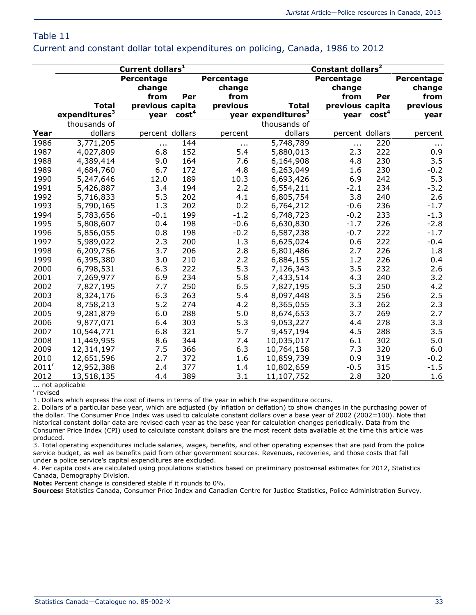#### Current and constant dollar total expenditures on policing, Canada, 1986 to 2012

|          |                           | Constant dollars <sup>2</sup>              |                   |            |                                |                 |                   |            |
|----------|---------------------------|--------------------------------------------|-------------------|------------|--------------------------------|-----------------|-------------------|------------|
|          |                           | Current dollars <sup>1</sup><br>Percentage |                   | Percentage |                                | Percentage      |                   | Percentage |
|          |                           | change                                     |                   | change     |                                | change          |                   | change     |
|          |                           | from                                       | Per               | from       |                                | from            | Per               | from       |
|          | <b>Total</b>              | previous capita                            |                   | previous   | Total                          | previous capita |                   | previous   |
|          | expenditures <sup>3</sup> | vear                                       | cost <sup>4</sup> |            | year expenditures <sup>3</sup> | vear            | cost <sup>4</sup> | year       |
|          | thousands of              |                                            |                   |            | thousands of                   |                 |                   |            |
| Year     | dollars                   | percent dollars                            |                   | percent    | dollars                        | percent dollars |                   | percent    |
| 1986     | 3,771,205                 | $\ldots$                                   | 144               | $\ldots$   | 5,748,789                      | $\cdots$        | 220               | $\cdots$   |
| 1987     | 4,027,809                 | 6.8                                        | 152               | 5.4        | 5,880,013                      | 2.3             | 222               | 0.9        |
| 1988     | 4,389,414                 | 9.0                                        | 164               | 7.6        | 6,164,908                      | 4.8             | 230               | 3.5        |
| 1989     | 4,684,760                 | 6.7                                        | 172               | 4.8        | 6,263,049                      | 1.6             | 230               | $-0.2$     |
| 1990     | 5,247,646                 | 12.0                                       | 189               | 10.3       | 6,693,426                      | 6.9             | 242               | 5.3        |
| 1991     | 5,426,887                 | 3.4                                        | 194               | 2.2        | 6,554,211                      | $-2.1$          | 234               | $-3.2$     |
| 1992     | 5,716,833                 | 5.3                                        | 202               | 4.1        | 6,805,754                      | 3.8             | 240               | 2.6        |
| 1993     | 5,790,165                 | 1.3                                        | 202               | 0.2        | 6,764,212                      | $-0.6$          | 236               | $-1.7$     |
| 1994     | 5,783,656                 | $-0.1$                                     | 199               | $-1.2$     | 6,748,723                      | $-0.2$          | 233               | $-1.3$     |
| 1995     | 5,808,607                 | 0.4                                        | 198               | $-0.6$     | 6,630,830                      | $-1.7$          | 226               | $-2.8$     |
| 1996     | 5,856,055                 | 0.8                                        | 198               | $-0.2$     | 6,587,238                      | $-0.7$          | 222               | $-1.7$     |
| 1997     | 5,989,022                 | 2.3                                        | 200               | 1.3        | 6,625,024                      | 0.6             | 222               | $-0.4$     |
| 1998     | 6,209,756                 | 3.7                                        | 206               | 2.8        | 6,801,486                      | 2.7             | 226               | 1.8        |
| 1999     | 6,395,380                 | 3.0                                        | 210               | 2.2        | 6,884,155                      | 1.2             | 226               | 0.4        |
| 2000     | 6,798,531                 | 6.3                                        | 222               | 5.3        | 7,126,343                      | 3.5             | 232               | 2.6        |
| 2001     | 7,269,977                 | 6.9                                        | 234               | 5.8        | 7,433,514                      | 4.3             | 240               | 3.2        |
| 2002     | 7,827,195                 | 7.7                                        | 250               | 6.5        | 7,827,195                      | 5.3             | 250               | 4.2        |
| 2003     | 8,324,176                 | 6.3                                        | 263               | 5.4        | 8,097,448                      | 3.5             | 256               | 2.5        |
| 2004     | 8,758,213                 | 5.2                                        | 274               | 4.2        | 8,365,055                      | 3.3             | 262               | 2.3        |
| 2005     | 9,281,879                 | 6.0                                        | 288               | 5.0        | 8,674,653                      | 3.7             | 269               | 2.7        |
| 2006     | 9,877,071                 | 6.4                                        | 303               | 5.3        | 9,053,227                      | 4.4             | 278               | 3.3        |
| 2007     | 10,544,771                | 6.8                                        | 321               | 5.7        | 9,457,194                      | 4.5             | 288               | 3.5        |
| 2008     | 11,449,955                | 8.6                                        | 344               | 7.4        | 10,035,017                     | 6.1             | 302               | 5.0        |
| 2009     | 12,314,197                | 7.5                                        | 366               | 6.3        | 10,764,158                     | 7.3             | 320               | 6.0        |
| 2010     | 12,651,596                | 2.7                                        | 372               | 1.6        | 10,859,739                     | 0.9             | 319               | $-0.2$     |
| $2011^r$ | 12,952,388                | 2.4                                        | 377               | 1.4        | 10,802,659                     | $-0.5$          | 315               | $-1.5$     |
| 2012     | 13,518,135                | 4.4                                        | 389               | 3.1        | 11,107,752                     | 2.8             | 320               | 1.6        |

... not applicable

r revised

1. Dollars which express the cost of items in terms of the year in which the expenditure occurs.

2. Dollars of a particular base year, which are adjusted (by inflation or deflation) to show changes in the purchasing power of the dollar. The Consumer Price Index was used to calculate constant dollars over a base year of 2002 (2002=100). Note that historical constant dollar data are revised each year as the base year for calculation changes periodically. Data from the Consumer Price Index (CPI) used to calculate constant dollars are the most recent data available at the time this article was produced.

3. Total operating expenditures include salaries, wages, benefits, and other operating expenses that are paid from the police service budget, as well as benefits paid from other government sources. Revenues, recoveries, and those costs that fall under a police service's capital expenditures are excluded.

4. Per capita costs are calculated using populations statistics based on preliminary postcensal estimates for 2012, Statistics Canada, Demography Division.

**Note:** Percent change is considered stable if it rounds to 0%.

**Sources:** Statistics Canada, Consumer Price Index and Canadian Centre for Justice Statistics, Police Administration Survey.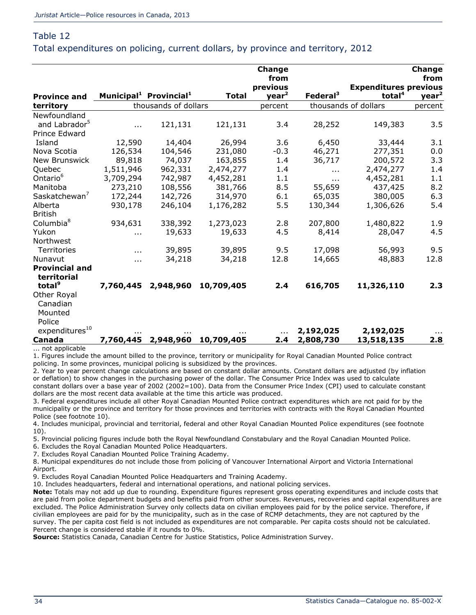Total expenditures on policing, current dollars, by province and territory, 2012

|                            |           |                                                |              | <b>Change</b><br>from |                      |                              | Change<br>from    |
|----------------------------|-----------|------------------------------------------------|--------------|-----------------------|----------------------|------------------------------|-------------------|
|                            |           |                                                |              | previous              |                      | <b>Expenditures previous</b> |                   |
| <b>Province and</b>        |           | Municipal <sup>1</sup> Provincial <sup>1</sup> | <b>Total</b> | year <sup>2</sup>     | Federal <sup>3</sup> | total <sup>4</sup>           | year <sup>2</sup> |
| territory                  |           | thousands of dollars                           |              | percent               |                      | thousands of dollars         | percent           |
| Newfoundland               |           |                                                |              |                       |                      |                              |                   |
| and Labrador <sup>5</sup>  | .         | 121,131                                        | 121,131      | 3.4                   | 28,252               | 149,383                      | 3.5               |
| Prince Edward              |           |                                                |              |                       |                      |                              |                   |
| Island                     | 12,590    | 14,404                                         | 26,994       | 3.6                   | 6,450                | 33,444                       | 3.1               |
| Nova Scotia                | 126,534   | 104,546                                        | 231,080      | $-0.3$                | 46,271               | 277,351                      | 0.0               |
| <b>New Brunswick</b>       | 89,818    | 74,037                                         | 163,855      | 1.4                   | 36,717               | 200,572                      | 3.3               |
| Quebec                     | 1,511,946 | 962,331                                        | 2,474,277    | 1.4                   | .                    | 2,474,277                    | 1.4               |
| Ontario <sup>6</sup>       | 3,709,294 | 742,987                                        | 4,452,281    | 1.1                   | $\cdots$             | 4,452,281                    | 1.1               |
| Manitoba                   | 273,210   | 108,556                                        | 381,766      | 8.5                   | 55,659               | 437,425                      | 8.2               |
| Saskatchewan <sup>7</sup>  | 172,244   | 142,726                                        | 314,970      | 6.1                   | 65,035               | 380,005                      | 6.3               |
| Alberta                    | 930,178   | 246,104                                        | 1,176,282    | 5.5                   | 130,344              | 1,306,626                    | 5.4               |
| <b>British</b>             |           |                                                |              |                       |                      |                              |                   |
| Columbia <sup>8</sup>      | 934,631   | 338,392                                        | 1,273,023    | 2.8                   | 207,800              | 1,480,822                    | 1.9               |
| Yukon                      | .         | 19,633                                         | 19,633       | 4.5                   | 8,414                | 28,047                       | 4.5               |
| Northwest                  |           |                                                |              |                       |                      |                              |                   |
| Territories                | .         | 39,895                                         | 39,895       | 9.5                   | 17,098               | 56,993                       | 9.5               |
| Nunavut                    | .         | 34,218                                         | 34,218       | 12.8                  | 14,665               | 48,883                       | 12.8              |
| <b>Provincial and</b>      |           |                                                |              |                       |                      |                              |                   |
| territorial                |           |                                                |              |                       |                      |                              |                   |
| total <sup>9</sup>         | 7,760,445 | 2,948,960                                      | 10,709,405   | 2.4                   | 616,705              | 11,326,110                   | 2.3               |
| Other Royal                |           |                                                |              |                       |                      |                              |                   |
| Canadian                   |           |                                                |              |                       |                      |                              |                   |
| Mounted                    |           |                                                |              |                       |                      |                              |                   |
| Police                     |           |                                                |              |                       |                      |                              |                   |
| expenditures <sup>10</sup> |           |                                                |              |                       | 2,192,025            | 2,192,025                    | $\cdots$          |
| Canada                     | 7,760,445 | 2,948,960                                      | 10,709,405   | 2.4                   | 2,808,730            | 13,518,135                   | 2.8               |

... not applicable

1. Figures include the amount billed to the province, territory or municipality for Royal Canadian Mounted Police contract policing. In some provinces, municipal policing is subsidized by the provinces.

2. Year to year percent change calculations are based on constant dollar amounts. Constant dollars are adjusted (by inflation or deflation) to show changes in the purchasing power of the dollar. The Consumer Price Index was used to calculate

constant dollars over a base year of 2002 (2002=100). Data from the Consumer Price Index (CPI) used to calculate constant dollars are the most recent data available at the time this article was produced.

3. Federal expenditures include all other Royal Canadian Mounted Police contract expenditures which are not paid for by the municipality or the province and territory for those provinces and territories with contracts with the Royal Canadian Mounted Police (see footnote 10).

4. Includes municipal, provincial and territorial, federal and other Royal Canadian Mounted Police expenditures (see footnote 10).

5. Provincial policing figures include both the Royal Newfoundland Constabulary and the Royal Canadian Mounted Police.

6. Excludes the Royal Canadian Mounted Police Headquarters.

7. Excludes Royal Canadian Mounted Police Training Academy.

8. Municipal expenditures do not include those from policing of Vancouver International Airport and Victoria International Airport.

9. Excludes Royal Canadian Mounted Police Headquarters and Training Academy.

10. Includes headquarters, federal and international operations, and national policing services.

**Note:** Totals may not add up due to rounding. Expenditure figures represent gross operating expenditures and include costs that are paid from police department budgets and benefits paid from other sources. Revenues, recoveries and capital expenditures are excluded. The Police Administration Survey only collects data on civilian employees paid for by the police service. Therefore, if civilian employees are paid for by the municipality, such as in the case of RCMP detachments, they are not captured by the survey. The per capita cost field is not included as expenditures are not comparable. Per capita costs should not be calculated. Percent change is considered stable if it rounds to 0%.

**Source:** Statistics Canada, Canadian Centre for Justice Statistics, Police Administration Survey.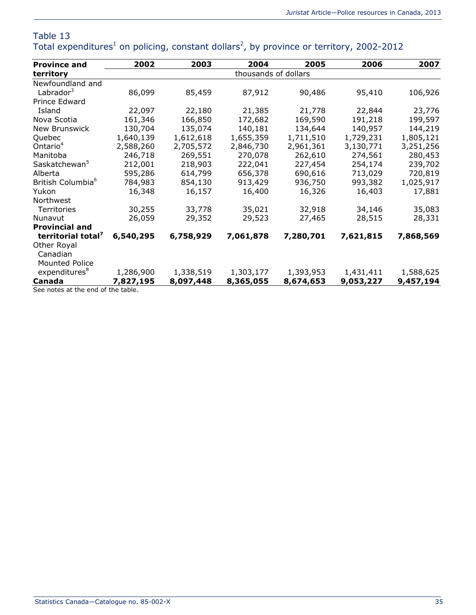| <b>Province and</b>           | 2002                 | 2003      | 2004      | 2005      | 2006      | 2007      |  |  |
|-------------------------------|----------------------|-----------|-----------|-----------|-----------|-----------|--|--|
| territory                     | thousands of dollars |           |           |           |           |           |  |  |
| Newfoundland and              |                      |           |           |           |           |           |  |  |
| Labrador <sup>3</sup>         | 86,099               | 85,459    | 87,912    | 90,486    | 95,410    | 106,926   |  |  |
| Prince Edward                 |                      |           |           |           |           |           |  |  |
| Island                        | 22,097               | 22,180    | 21,385    | 21,778    | 22,844    | 23,776    |  |  |
| Nova Scotia                   | 161,346              | 166,850   | 172,682   | 169,590   | 191,218   | 199,597   |  |  |
| New Brunswick                 | 130,704              | 135,074   | 140,181   | 134,644   | 140,957   | 144,219   |  |  |
| Quebec                        | 1,640,139            | 1,612,618 | 1,655,359 | 1,711,510 | 1,729,231 | 1,805,121 |  |  |
| Ontario <sup>4</sup>          | 2,588,260            | 2,705,572 | 2,846,730 | 2,961,361 | 3,130,771 | 3,251,256 |  |  |
| Manitoba                      | 246,718              | 269,551   | 270,078   | 262,610   | 274,561   | 280,453   |  |  |
| Saskatchewan <sup>5</sup>     | 212,001              | 218,903   | 222,041   | 227,454   | 254,174   | 239,702   |  |  |
| Alberta                       | 595,286              | 614,799   | 656,378   | 690,616   | 713,029   | 720,819   |  |  |
| British Columbia <sup>6</sup> | 784,983              | 854,130   | 913,429   | 936,750   | 993,382   | 1,025,917 |  |  |
| Yukon                         | 16,348               | 16,157    | 16,400    | 16,326    | 16,403    | 17,881    |  |  |
| Northwest                     |                      |           |           |           |           |           |  |  |
| Territories                   | 30,255               | 33,778    | 35,021    | 32,918    | 34,146    | 35,083    |  |  |
| Nunavut                       | 26,059               | 29,352    | 29,523    | 27,465    | 28,515    | 28,331    |  |  |
| <b>Provincial and</b>         |                      |           |           |           |           |           |  |  |
| territorial total'            | 6,540,295            | 6,758,929 | 7,061,878 | 7,280,701 | 7,621,815 | 7,868,569 |  |  |
| Other Royal                   |                      |           |           |           |           |           |  |  |
| Canadian                      |                      |           |           |           |           |           |  |  |
| <b>Mounted Police</b>         |                      |           |           |           |           |           |  |  |
| expenditures <sup>8</sup>     | 1,286,900            | 1,338,519 | 1,303,177 | 1,393,953 | 1,431,411 | 1,588,625 |  |  |
| Canada                        | 7,827,195            | 8,097,448 | 8,365,055 | 8,674,653 | 9,053,227 | 9,457,194 |  |  |

#### Table 13 Total expenditures<sup>[1](http://wwwstaging.statcan.gc.ca/pub/85-002-x/2014001/article/11914/tbl/tbl13-eng.htm#tbl13n_1)</sup> on policing, constant dollars<sup>[2](http://wwwstaging.statcan.gc.ca/pub/85-002-x/2014001/article/11914/tbl/tbl13-eng.htm#tbl13n_2)</sup>, by province or territory, 2002-2012

See notes at the end of the table.